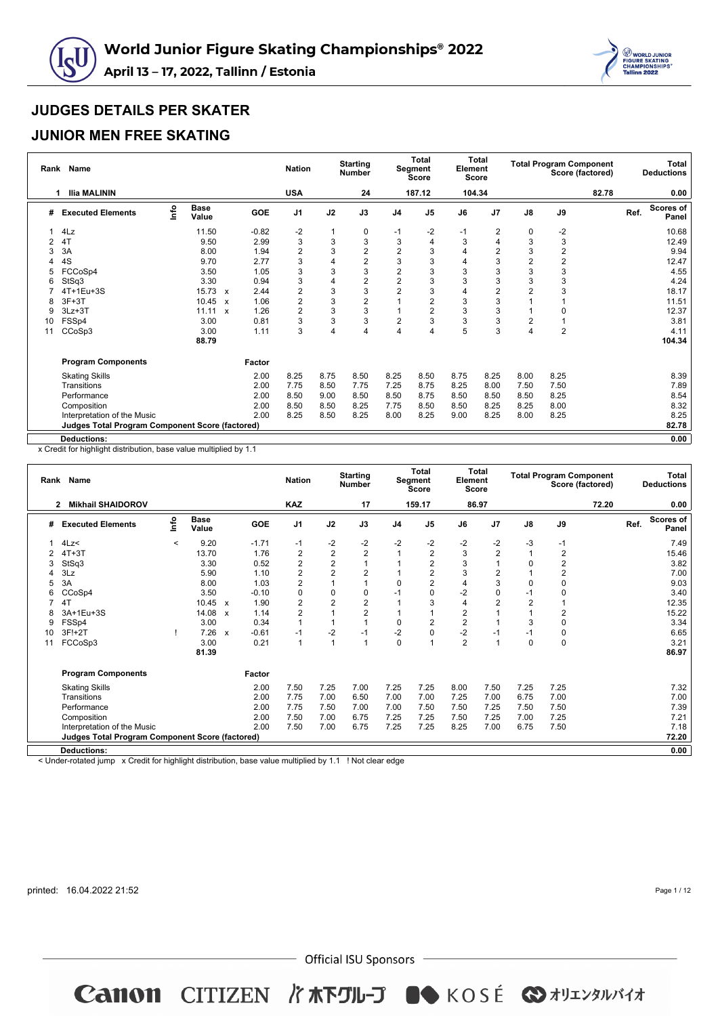



## **JUNIOR MEN FREE SKATING**

| Rank | <b>Name</b>                                     |      |                      |              |            | <b>Nation</b>           |                | <b>Starting</b><br><b>Number</b> |                         | <b>Total</b><br>Segment<br>Score | Element | <b>Total</b><br><b>Score</b> |                |                | <b>Total Program Component</b><br>Score (factored) |      | <b>Total</b><br><b>Deductions</b> |
|------|-------------------------------------------------|------|----------------------|--------------|------------|-------------------------|----------------|----------------------------------|-------------------------|----------------------------------|---------|------------------------------|----------------|----------------|----------------------------------------------------|------|-----------------------------------|
|      | <b>Ilia MALININ</b><br>1                        |      |                      |              |            | <b>USA</b>              |                | 24                               |                         | 187.12                           | 104.34  |                              |                |                | 82.78                                              |      | 0.00                              |
| #    | <b>Executed Elements</b>                        | ١nfo | <b>Base</b><br>Value |              | <b>GOE</b> | J <sub>1</sub>          | J2             | J3                               | J <sub>4</sub>          | J <sub>5</sub>                   | J6      | J7                           | $\mathsf{J}8$  | J9             |                                                    | Ref. | <b>Scores of</b><br>Panel         |
|      | 4Lz                                             |      | 11.50                |              | $-0.82$    | $-2$                    | 1              | 0                                | -1                      | $-2$                             | $-1$    | 2                            | 0              | $-2$           |                                                    |      | 10.68                             |
| 2    | 4T                                              |      | 9.50                 |              | 2.99       | 3                       | 3              | 3                                | 3                       | 4                                | 3       | 4                            | 3              | 3              |                                                    |      | 12.49                             |
| 3    | 3A                                              |      | 8.00                 |              | 1.94       | $\overline{2}$          | 3              | $\mathbf{2}$                     | $\overline{2}$          | 3                                | 4       | 2                            | 3              | $\overline{2}$ |                                                    |      | 9.94                              |
|      | 4S                                              |      | 9.70                 |              | 2.77       | 3                       | $\overline{4}$ | $\overline{2}$                   | 3                       | 3                                | 4       | 3                            | $\overline{2}$ | $\overline{c}$ |                                                    |      | 12.47                             |
| 5    | FCCoSp4                                         |      | 3.50                 |              | 1.05       | 3                       | 3              | 3                                | $\overline{\mathbf{c}}$ | 3                                | 3       | 3                            | 3              | 3              |                                                    |      | 4.55                              |
|      | StSq3                                           |      | 3.30                 |              | 0.94       | 3                       | $\overline{4}$ | 2                                | $\overline{c}$          | 3                                | 3       | 3                            | 3              | 3              |                                                    |      | 4.24                              |
|      | 4T+1Eu+3S                                       |      | 15.73 x              |              | 2.44       | $\overline{\mathbf{c}}$ | 3              | 3                                | $\overline{2}$          | 3                                | 4       | $\overline{c}$               | 2              | 3              |                                                    |      | 18.17                             |
|      | $3F+3T$                                         |      | 10.45                | $\mathbf{x}$ | 1.06       | $\overline{2}$          | 3              | $\overline{2}$                   |                         | $\overline{2}$                   | 3       | 3                            |                |                |                                                    |      | 11.51                             |
| 9    | $3Lz + 3T$                                      |      | 11.11                | $\mathbf{x}$ | 1.26       | $\overline{2}$          | 3              | 3                                |                         | $\overline{2}$                   | 3       | 3                            |                | 0              |                                                    |      | 12.37                             |
| 10   | FSSp4                                           |      | 3.00                 |              | 0.81       | 3                       | 3              | 3                                | $\overline{2}$          | 3                                | 3       | 3                            | $\overline{2}$ |                |                                                    |      | 3.81                              |
| 11   | CCoSp3                                          |      | 3.00                 |              | 1.11       | 3                       | $\overline{4}$ | 4                                | $\overline{4}$          | 4                                | 5       | 3                            | 4              | $\overline{2}$ |                                                    |      | 4.11                              |
|      |                                                 |      | 88.79                |              |            |                         |                |                                  |                         |                                  |         |                              |                |                |                                                    |      | 104.34                            |
|      | <b>Program Components</b>                       |      |                      |              | Factor     |                         |                |                                  |                         |                                  |         |                              |                |                |                                                    |      |                                   |
|      | <b>Skating Skills</b>                           |      |                      |              | 2.00       | 8.25                    | 8.75           | 8.50                             | 8.25                    | 8.50                             | 8.75    | 8.25                         | 8.00           | 8.25           |                                                    |      | 8.39                              |
|      | Transitions                                     |      |                      |              | 2.00       | 7.75                    | 8.50           | 7.75                             | 7.25                    | 8.75                             | 8.25    | 8.00                         | 7.50           | 7.50           |                                                    |      | 7.89                              |
|      | Performance                                     |      |                      |              | 2.00       | 8.50                    | 9.00           | 8.50                             | 8.50                    | 8.75                             | 8.50    | 8.50                         | 8.50           | 8.25           |                                                    |      | 8.54                              |
|      | Composition                                     |      |                      |              | 2.00       | 8.50                    | 8.50           | 8.25                             | 7.75                    | 8.50                             | 8.50    | 8.25                         | 8.25           | 8.00           |                                                    |      | 8.32                              |
|      | Interpretation of the Music                     |      |                      |              | 2.00       | 8.25                    | 8.50           | 8.25                             | 8.00                    | 8.25                             | 9.00    | 8.25                         | 8.00           | 8.25           |                                                    |      | 8.25                              |
|      | Judges Total Program Component Score (factored) |      |                      |              |            |                         |                |                                  |                         |                                  |         |                              |                |                |                                                    |      | 82.78                             |
|      | <b>Deductions:</b>                              |      |                      |              |            |                         |                |                                  |                         |                                  |         |                              |                |                |                                                    |      | 0.00                              |

x Credit for highlight distribution, base value multiplied by 1.1

| Rank | <b>Name</b>                                            |       |                      |                           |         | <b>Nation</b>           |                | <b>Starting</b><br><b>Number</b> |                | <b>Total</b><br>Segment<br><b>Score</b> | Element        | <b>Total</b><br>Score |                         | <b>Total Program Component</b> | Score (factored) |      | <b>Total</b><br><b>Deductions</b> |
|------|--------------------------------------------------------|-------|----------------------|---------------------------|---------|-------------------------|----------------|----------------------------------|----------------|-----------------------------------------|----------------|-----------------------|-------------------------|--------------------------------|------------------|------|-----------------------------------|
|      | <b>Mikhail SHAIDOROV</b><br>$\overline{2}$             |       |                      |                           |         | <b>KAZ</b>              |                | 17                               |                | 159.17                                  |                | 86.97                 |                         |                                | 72.20            |      | 0.00                              |
| #    | <b>Executed Elements</b>                               | lnfo  | <b>Base</b><br>Value |                           | GOE     | J <sub>1</sub>          | J2             | J3                               | J <sub>4</sub> | J5                                      | J6             | J <sub>7</sub>        | J8                      | J9                             |                  | Ref. | <b>Scores of</b><br>Panel         |
|      | 4Lz                                                    | $\,<$ | 9.20                 |                           | $-1.71$ | $-1$                    | $-2$           | $-2$                             | $-2$           | -2                                      | $-2$           | $-2$                  | $-3$                    | -1                             |                  |      | 7.49                              |
|      | $4T+3T$                                                |       | 13.70                |                           | 1.76    | 2                       | $\overline{2}$ | 2                                |                | 2                                       | 3              | $\overline{2}$        | $\overline{1}$          | $\overline{2}$                 |                  |      | 15.46                             |
| 3    | StSq3                                                  |       | 3.30                 |                           | 0.52    | 2                       | $\overline{2}$ |                                  |                | $\overline{2}$                          | 3              | -1                    | 0                       | $\boldsymbol{2}$               |                  |      | 3.82                              |
|      | 3Lz                                                    |       | 5.90                 |                           | 1.10    | 2                       | $\overline{2}$ | $\overline{2}$                   |                | $\overline{2}$                          | 3              | $\overline{2}$        |                         | $\overline{2}$                 |                  |      | 7.00                              |
| 5    | 3A                                                     |       | 8.00                 |                           | 1.03    | 2                       |                |                                  | 0              | 2                                       | 4              | 3                     | 0                       | 0                              |                  |      | 9.03                              |
| 6    | CCoSp4                                                 |       | 3.50                 |                           | $-0.10$ | $\mathbf 0$             | $\mathbf 0$    | 0                                | $-1$           | 0                                       | $-2$           | $\mathbf 0$           | $-1$                    | 0                              |                  |      | 3.40                              |
|      | 4T                                                     |       | 10.45                | x                         | 1.90    | $\overline{\mathbf{c}}$ | $\overline{2}$ | 2                                |                | 3                                       | 4              | $\overline{2}$        | $\overline{\mathbf{c}}$ |                                |                  |      | 12.35                             |
|      | 3A+1Eu+3S                                              |       | 14.08                | $\boldsymbol{\mathsf{x}}$ | 1.14    | $\overline{2}$          |                | $\overline{2}$                   |                |                                         | 2              |                       |                         | $\overline{2}$                 |                  |      | 15.22                             |
| 9    | FSSp4                                                  |       | 3.00                 |                           | 0.34    |                         |                |                                  | 0              | $\overline{2}$                          | $\overline{2}$ |                       | 3                       | $\mathbf 0$                    |                  |      | 3.34                              |
| 10   | 3F!+2T                                                 |       | 7.26                 | $\boldsymbol{\mathsf{x}}$ | $-0.61$ | $-1$                    | $-2$           | $-1$                             | $-2$           | 0                                       | $-2$           | $-1$                  | $-1$                    | 0                              |                  |      | 6.65                              |
| 11   | FCCoSp3                                                |       | 3.00                 |                           | 0.21    | $\overline{1}$          | $\overline{1}$ |                                  | $\mathbf 0$    |                                         | $\overline{2}$ | $\overline{1}$        | $\mathbf 0$             | 0                              |                  |      | 3.21                              |
|      |                                                        |       | 81.39                |                           |         |                         |                |                                  |                |                                         |                |                       |                         |                                |                  |      | 86.97                             |
|      | <b>Program Components</b>                              |       |                      |                           | Factor  |                         |                |                                  |                |                                         |                |                       |                         |                                |                  |      |                                   |
|      | <b>Skating Skills</b>                                  |       |                      |                           | 2.00    | 7.50                    | 7.25           | 7.00                             | 7.25           | 7.25                                    | 8.00           | 7.50                  | 7.25                    | 7.25                           |                  |      | 7.32                              |
|      | Transitions                                            |       |                      |                           | 2.00    | 7.75                    | 7.00           | 6.50                             | 7.00           | 7.00                                    | 7.25           | 7.00                  | 6.75                    | 7.00                           |                  |      | 7.00                              |
|      | Performance                                            |       |                      |                           | 2.00    | 7.75                    | 7.50           | 7.00                             | 7.00           | 7.50                                    | 7.50           | 7.25                  | 7.50                    | 7.50                           |                  |      | 7.39                              |
|      | Composition                                            |       |                      |                           | 2.00    | 7.50                    | 7.00           | 6.75                             | 7.25           | 7.25                                    | 7.50           | 7.25                  | 7.00                    | 7.25                           |                  |      | 7.21                              |
|      | Interpretation of the Music                            |       |                      |                           | 2.00    | 7.50                    | 7.00           | 6.75                             | 7.25           | 7.25                                    | 8.25           | 7.00                  | 6.75                    | 7.50                           |                  |      | 7.18                              |
|      | <b>Judges Total Program Component Score (factored)</b> |       |                      |                           |         |                         |                |                                  |                |                                         |                |                       |                         |                                |                  |      | 72.20                             |
|      | <b>Deductions:</b>                                     |       |                      |                           |         |                         |                |                                  |                |                                         |                |                       |                         |                                |                  |      | 0.00                              |
|      |                                                        |       |                      |                           |         |                         |                |                                  |                |                                         |                |                       |                         |                                |                  |      |                                   |

< Under-rotated jump x Credit for highlight distribution, base value multiplied by 1.1 ! Not clear edge

printed: 16.04.2022 21:52

Page 1 / 12

 $-$  Official ISU Sponsors  $-$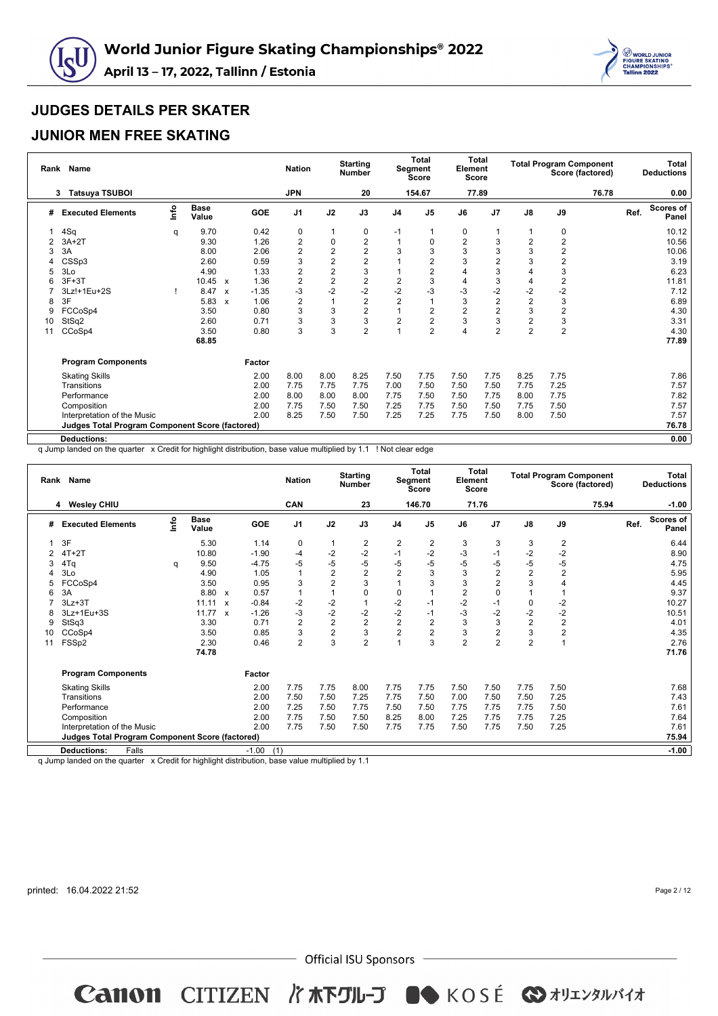



#### **JUNIOR MEN FREE SKATING**

| Rank | <b>Name</b>                                     |      |                      |                           |         | <b>Nation</b>  |                | <b>Starting</b><br><b>Number</b> |                | Total<br>Segment<br>Score | Element        | <b>Total</b><br>Score |                |                  | <b>Total Program Component</b><br>Score (factored) |      | Total<br><b>Deductions</b> |
|------|-------------------------------------------------|------|----------------------|---------------------------|---------|----------------|----------------|----------------------------------|----------------|---------------------------|----------------|-----------------------|----------------|------------------|----------------------------------------------------|------|----------------------------|
|      | <b>Tatsuya TSUBOI</b><br>3                      |      |                      |                           |         | <b>JPN</b>     |                | 20                               |                | 154.67                    |                | 77.89                 |                |                  | 76.78                                              |      | 0.00                       |
| #    | <b>Executed Elements</b>                        | Info | <b>Base</b><br>Value |                           | GOE     | J <sub>1</sub> | J2             | J3                               | J <sub>4</sub> | J <sub>5</sub>            | J6             | J <sub>7</sub>        | $\mathsf{J}8$  | J9               |                                                    | Ref. | Scores of<br>Panel         |
|      | 4Sq                                             | q    | 9.70                 |                           | 0.42    | 0              |                | 0                                | $-1$           |                           | 0              |                       | 1              | 0                |                                                    |      | 10.12                      |
|      | $3A+2T$                                         |      | 9.30                 |                           | 1.26    | 2              | $\mathbf 0$    | $\overline{2}$                   |                |                           | $\overline{2}$ | 3                     | $\overline{2}$ | $\overline{2}$   |                                                    |      | 10.56                      |
| 3    | 3A                                              |      | 8.00                 |                           | 2.06    | 2              | $\overline{2}$ | $\overline{2}$                   | 3              | 3                         | 3              | 3                     | 3              | $\overline{2}$   |                                                    |      | 10.06                      |
|      | CSSp3                                           |      | 2.60                 |                           | 0.59    | 3              | $\overline{2}$ | $\overline{2}$                   |                | $\overline{2}$            | 3              | 2                     | 3              | $\overline{2}$   |                                                    |      | 3.19                       |
|      | 3Lo                                             |      | 4.90                 |                           | 1.33    | 2              | $\overline{2}$ | 3                                |                | 2                         | 4              | 3                     | 4              | 3                |                                                    |      | 6.23                       |
|      | $3F+3T$                                         |      | 10.45                | $\boldsymbol{\mathsf{x}}$ | 1.36    | $\overline{2}$ | $\overline{2}$ | $\overline{2}$                   | $\overline{2}$ | 3                         | 4              | 3                     | 4              | $\overline{2}$   |                                                    |      | 11.81                      |
|      | 3Lz!+1Eu+2S                                     |      | 8.47                 | $\boldsymbol{\mathsf{x}}$ | $-1.35$ | -3             | $-2$           | $-2$                             | $-2$           | $-3$                      | -3             | $-2$                  | $-2$           | $-2$             |                                                    |      | 7.12                       |
| 8    | 3F                                              |      | 5.83                 | X                         | 1.06    | $\overline{2}$ | 1              | $\mathbf{2}$                     | $\overline{2}$ |                           | 3              | $\overline{2}$        | $\overline{2}$ | 3                |                                                    |      | 6.89                       |
| 9    | FCCoSp4                                         |      | 3.50                 |                           | 0.80    | 3              | 3              | $\overline{2}$                   | 1              | 2                         | 2              | 2                     | 3              | $\boldsymbol{2}$ |                                                    |      | 4.30                       |
| 10   | StSq2                                           |      | 2.60                 |                           | 0.71    | 3              | 3              | 3                                | $\overline{2}$ | 2                         | 3              | 3                     | $\overline{2}$ | 3                |                                                    |      | 3.31                       |
| 11   | CCoSp4                                          |      | 3.50                 |                           | 0.80    | 3              | 3              | $\overline{2}$                   | $\overline{1}$ | $\overline{2}$            | 4              | $\overline{2}$        | $\overline{2}$ | $\overline{2}$   |                                                    |      | 4.30                       |
|      |                                                 |      | 68.85                |                           |         |                |                |                                  |                |                           |                |                       |                |                  |                                                    |      | 77.89                      |
|      | <b>Program Components</b>                       |      |                      |                           | Factor  |                |                |                                  |                |                           |                |                       |                |                  |                                                    |      |                            |
|      | <b>Skating Skills</b>                           |      |                      |                           | 2.00    | 8.00           | 8.00           | 8.25                             | 7.50           | 7.75                      | 7.50           | 7.75                  | 8.25           | 7.75             |                                                    |      | 7.86                       |
|      | Transitions                                     |      |                      |                           | 2.00    | 7.75           | 7.75           | 7.75                             | 7.00           | 7.50                      | 7.50           | 7.50                  | 7.75           | 7.25             |                                                    |      | 7.57                       |
|      | Performance                                     |      |                      |                           | 2.00    | 8.00           | 8.00           | 8.00                             | 7.75           | 7.50                      | 7.50           | 7.75                  | 8.00           | 7.75             |                                                    |      | 7.82                       |
|      | Composition                                     |      |                      |                           | 2.00    | 7.75           | 7.50           | 7.50                             | 7.25           | 7.75                      | 7.50           | 7.50                  | 7.75           | 7.50             |                                                    |      | 7.57                       |
|      | Interpretation of the Music                     |      |                      |                           | 2.00    | 8.25           | 7.50           | 7.50                             | 7.25           | 7.25                      | 7.75           | 7.50                  | 8.00           | 7.50             |                                                    |      | 7.57                       |
|      | Judges Total Program Component Score (factored) |      |                      |                           |         |                |                |                                  |                |                           |                |                       |                |                  |                                                    |      | 76.78                      |
|      | <b>Deductions:</b>                              |      |                      |                           |         |                |                |                                  |                |                           |                |                       |                |                  |                                                    |      | 0.00                       |

q Jump landed on the quarter x Credit for highlight distribution, base value multiplied by 1.1 ! Not clear edge

| Rank | <b>Name</b>                                            |      |                      |              |                | <b>Nation</b>  |                | <b>Starting</b><br><b>Number</b> |                | <b>Total</b><br>Segment<br><b>Score</b> | Element        | Total<br>Score |                |                | <b>Total Program Component</b><br>Score (factored) |      | <b>Total</b><br><b>Deductions</b> |
|------|--------------------------------------------------------|------|----------------------|--------------|----------------|----------------|----------------|----------------------------------|----------------|-----------------------------------------|----------------|----------------|----------------|----------------|----------------------------------------------------|------|-----------------------------------|
|      | <b>Wesley CHIU</b><br>4                                |      |                      |              |                | <b>CAN</b>     |                | 23                               |                | 146.70                                  |                | 71.76          |                |                | 75.94                                              |      | $-1.00$                           |
| #    | <b>Executed Elements</b>                               | lnfo | <b>Base</b><br>Value |              | GOE            | J <sub>1</sub> | J2             | J3                               | J <sub>4</sub> | J <sub>5</sub>                          | J6             | J <sub>7</sub> | $\mathbf{J}$ 8 | J9             |                                                    | Ref. | Scores of<br>Panel                |
|      | 3F                                                     |      | 5.30                 |              | 1.14           | 0              | 1              | $\overline{\mathbf{c}}$          | 2              | 2                                       | 3              | 3              | 3              | 2              |                                                    |      | 6.44                              |
|      | $4T+2T$                                                |      | 10.80                |              | $-1.90$        | $-4$           | $-2$           | $-2$                             | $-1$           | $-2$                                    | -3             | $-1$           | $-2$           | $-2$           |                                                    |      | 8.90                              |
| 3    | 4Tq                                                    | q    | 9.50                 |              | $-4.75$        | -5             | $-5$           | $-5$                             | $-5$           | $-5$                                    | $-5$           | -5             | $-5$           | $-5$           |                                                    |      | 4.75                              |
|      | 3Lo                                                    |      | 4.90                 |              | 1.05           |                | $\overline{2}$ | $\overline{2}$                   | $\overline{2}$ | 3                                       | 3              | $\overline{2}$ | $\overline{2}$ | $\overline{2}$ |                                                    |      | 5.95                              |
|      | FCCoSp4                                                |      | 3.50                 |              | 0.95           | 3              | $\overline{2}$ | 3                                |                | 3                                       | 3              | $\overline{2}$ | 3              | $\overline{4}$ |                                                    |      | 4.45                              |
| 6    | 3A                                                     |      | 8.80                 | $\mathbf{x}$ | 0.57           |                |                | 0                                | 0              |                                         | $\overline{2}$ | $\Omega$       |                |                |                                                    |      | 9.37                              |
|      | $3Lz + 3T$                                             |      | 11.11                | $\mathbf{x}$ | $-0.84$        | $-2$           | $-2$           |                                  | $-2$           | $-1$                                    | $-2$           | $-1$           | 0              | $-2$           |                                                    |      | 10.27                             |
|      | 3Lz+1Eu+3S                                             |      | 11.77                | $\mathbf{x}$ | $-1.26$        | $-3$           | $-2$           | $-2$                             | $-2$           | $-1$                                    | $-3$           | $-2$           | $-2$           | $-2$           |                                                    |      | 10.51                             |
| 9    | StSq3                                                  |      | 3.30                 |              | 0.71           | $\overline{2}$ | $\overline{2}$ | $\overline{2}$                   | $\overline{2}$ | $\overline{2}$                          | 3              | 3              | $\overline{2}$ | $\overline{2}$ |                                                    |      | 4.01                              |
| 10   | CCoSp4                                                 |      | 3.50                 |              | 0.85           | 3              | $\overline{2}$ | 3                                | $\overline{2}$ | $\overline{2}$                          | 3              | $\overline{2}$ | 3              | $\overline{2}$ |                                                    |      | 4.35                              |
| 11   | FSSp2                                                  |      | 2.30                 |              | 0.46           | $\overline{c}$ | 3              | $\overline{c}$                   |                | 3                                       | $\overline{2}$ | $\overline{2}$ | $\overline{2}$ | $\overline{1}$ |                                                    |      | 2.76                              |
|      |                                                        |      | 74.78                |              |                |                |                |                                  |                |                                         |                |                |                |                |                                                    |      | 71.76                             |
|      | <b>Program Components</b>                              |      |                      |              | Factor         |                |                |                                  |                |                                         |                |                |                |                |                                                    |      |                                   |
|      | <b>Skating Skills</b>                                  |      |                      |              | 2.00           | 7.75           | 7.75           | 8.00                             | 7.75           | 7.75                                    | 7.50           | 7.50           | 7.75           | 7.50           |                                                    |      | 7.68                              |
|      | Transitions                                            |      |                      |              | 2.00           | 7.50           | 7.50           | 7.25                             | 7.75           | 7.50                                    | 7.00           | 7.50           | 7.50           | 7.25           |                                                    |      | 7.43                              |
|      | Performance                                            |      |                      |              | 2.00           | 7.25           | 7.50           | 7.75                             | 7.50           | 7.50                                    | 7.75           | 7.75           | 7.75           | 7.50           |                                                    |      | 7.61                              |
|      | Composition                                            |      |                      |              | 2.00           | 7.75           | 7.50           | 7.50                             | 8.25           | 8.00                                    | 7.25           | 7.75           | 7.75           | 7.25           |                                                    |      | 7.64                              |
|      | Interpretation of the Music                            |      |                      |              | 2.00           | 7.75           | 7.50           | 7.50                             | 7.75           | 7.75                                    | 7.50           | 7.75           | 7.50           | 7.25           |                                                    |      | 7.61                              |
|      | <b>Judges Total Program Component Score (factored)</b> |      |                      |              |                |                |                |                                  |                |                                         |                |                |                |                |                                                    |      | 75.94                             |
|      | <b>Deductions:</b><br>Falls                            |      |                      |              | $-1.00$<br>(1) |                |                |                                  |                |                                         |                |                |                |                |                                                    |      | $-1.00$                           |

q Jump landed on the quarter x Credit for highlight distribution, base value multiplied by 1.1

printed: 16.04.2022 21:52

Page 2 / 12

 $-$  Official ISU Sponsors  $-$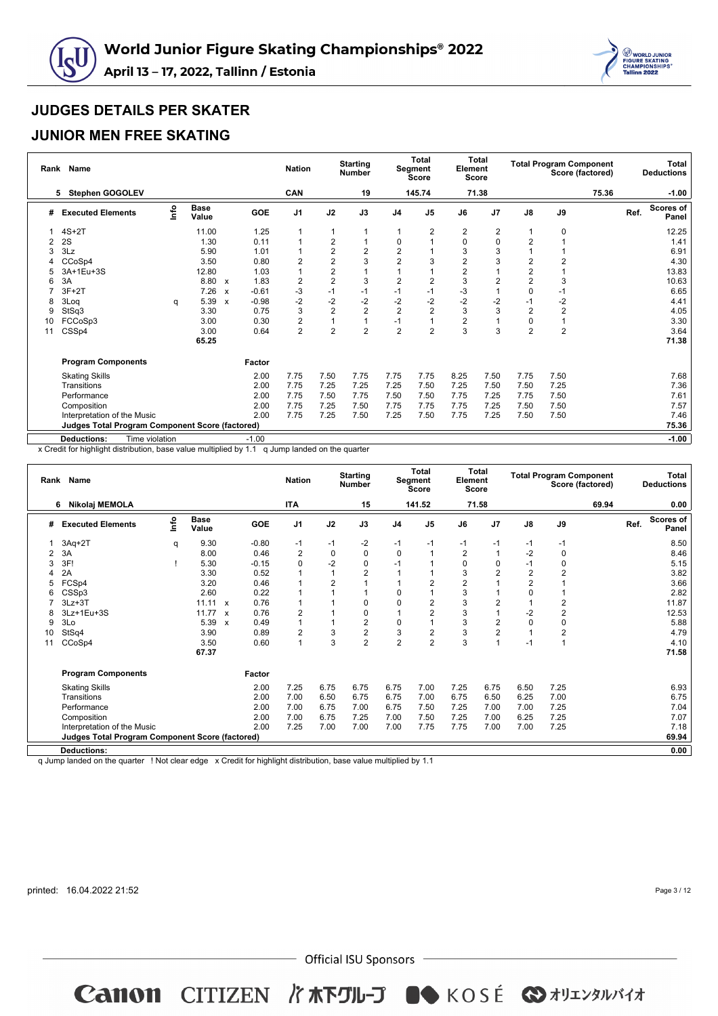



## **JUNIOR MEN FREE SKATING**

| Rank | Name                                                   |      |                      |                           |            | <b>Nation</b>  |                | <b>Starting</b><br><b>Number</b> |                | <b>Total</b><br>Segment<br>Score | Element        | <b>Total</b><br><b>Score</b> |                |                | <b>Total Program Component</b><br>Score (factored) |      | Total<br><b>Deductions</b> |
|------|--------------------------------------------------------|------|----------------------|---------------------------|------------|----------------|----------------|----------------------------------|----------------|----------------------------------|----------------|------------------------------|----------------|----------------|----------------------------------------------------|------|----------------------------|
|      | <b>Stephen GOGOLEV</b><br>5                            |      |                      |                           |            | CAN            |                | 19                               |                | 145.74                           |                | 71.38                        |                |                | 75.36                                              |      | $-1.00$                    |
| #    | <b>Executed Elements</b>                               | lnfo | <b>Base</b><br>Value |                           | <b>GOE</b> | J <sub>1</sub> | J2             | J3                               | J <sub>4</sub> | J <sub>5</sub>                   | J6             | J <sub>7</sub>               | $\mathsf{J}8$  | J9             |                                                    | Ref. | <b>Scores of</b><br>Panel  |
|      | $4S+2T$                                                |      | 11.00                |                           | 1.25       |                | 1              |                                  |                | 2                                | 2              | 2                            | $\mathbf 1$    | 0              |                                                    |      | 12.25                      |
| 2    | 2S                                                     |      | 1.30                 |                           | 0.11       |                | $\overline{2}$ |                                  | 0              |                                  | 0              | 0                            | $\overline{2}$ |                |                                                    |      | 1.41                       |
| 3    | 3Lz                                                    |      | 5.90                 |                           | 1.01       |                | $\overline{2}$ | $\overline{2}$                   | $\overline{2}$ |                                  | 3              | 3                            |                |                |                                                    |      | 6.91                       |
|      | CCoSp4                                                 |      | 3.50                 |                           | 0.80       | 2              | $\overline{2}$ | 3                                | $\overline{2}$ | 3                                | $\overline{2}$ | 3                            | $\overline{2}$ | $\overline{2}$ |                                                    |      | 4.30                       |
|      | 3A+1Eu+3S                                              |      | 12.80                |                           | 1.03       |                | $\overline{c}$ |                                  |                |                                  | $\overline{2}$ |                              | $\overline{c}$ |                |                                                    |      | 13.83                      |
|      | 3A                                                     |      | 8.80                 | $\boldsymbol{\mathsf{x}}$ | 1.83       | $\overline{2}$ | $\overline{2}$ | 3                                | 2              | $\overline{2}$                   | 3              | $\overline{2}$               | $\overline{2}$ | 3              |                                                    |      | 10.63                      |
|      | $3F+2T$                                                |      | 7.26                 | $\boldsymbol{\mathsf{x}}$ | $-0.61$    | $-3$           | $-1$           | -1                               | $-1$           | $-1$                             | $-3$           | 1                            | 0              | -1             |                                                    |      | 6.65                       |
| 8    | 3Log                                                   | q    | 5.39                 | $\boldsymbol{\mathsf{x}}$ | $-0.98$    | $-2$           | $-2$           | $-2$                             | $-2$           | $-2$                             | $-2$           | $-2$                         | $-1$           | $-2$           |                                                    |      | 4.41                       |
| 9    | StSq3                                                  |      | 3.30                 |                           | 0.75       | 3              | $\overline{2}$ | $\overline{2}$                   | $\overline{2}$ | $\overline{2}$                   | 3              | 3                            | $\overline{2}$ | $\overline{2}$ |                                                    |      | 4.05                       |
| 10   | FCCoSp3                                                |      | 3.00                 |                           | 0.30       | $\overline{2}$ | $\mathbf{1}$   |                                  | $-1$           |                                  | $\overline{2}$ | $\overline{1}$               | 0              | 1              |                                                    |      | 3.30                       |
| 11   | CSSp4                                                  |      | 3.00                 |                           | 0.64       | $\overline{2}$ | $\overline{2}$ | $\overline{2}$                   | $\overline{2}$ | $\overline{2}$                   | 3              | 3                            | $\overline{2}$ | $\overline{2}$ |                                                    |      | 3.64                       |
|      |                                                        |      | 65.25                |                           |            |                |                |                                  |                |                                  |                |                              |                |                |                                                    |      | 71.38                      |
|      | <b>Program Components</b>                              |      |                      |                           | Factor     |                |                |                                  |                |                                  |                |                              |                |                |                                                    |      |                            |
|      | <b>Skating Skills</b>                                  |      |                      |                           | 2.00       | 7.75           | 7.50           | 7.75                             | 7.75           | 7.75                             | 8.25           | 7.50                         | 7.75           | 7.50           |                                                    |      | 7.68                       |
|      | Transitions                                            |      |                      |                           | 2.00       | 7.75           | 7.25           | 7.25                             | 7.25           | 7.50                             | 7.25           | 7.50                         | 7.50           | 7.25           |                                                    |      | 7.36                       |
|      | Performance                                            |      |                      |                           | 2.00       | 7.75           | 7.50           | 7.75                             | 7.50           | 7.50                             | 7.75           | 7.25                         | 7.75           | 7.50           |                                                    |      | 7.61                       |
|      | Composition                                            |      |                      |                           | 2.00       | 7.75           | 7.25           | 7.50                             | 7.75           | 7.75                             | 7.75           | 7.25                         | 7.50           | 7.50           |                                                    |      | 7.57                       |
|      | Interpretation of the Music                            |      |                      |                           | 2.00       | 7.75           | 7.25           | 7.50                             | 7.25           | 7.50                             | 7.75           | 7.25                         | 7.50           | 7.50           |                                                    |      | 7.46                       |
|      | <b>Judges Total Program Component Score (factored)</b> |      |                      |                           |            |                |                |                                  |                |                                  |                |                              |                |                |                                                    |      | 75.36                      |
|      | Time violation<br><b>Deductions:</b>                   |      |                      |                           | $-1.00$    |                |                |                                  |                |                                  |                |                              |                |                |                                                    |      | $-1.00$                    |

x Credit for highlight distribution, base value multiplied by 1.1 q Jump landed on the quarter

| Rank | <b>Name</b>                                     |    |                      |                           |         | <b>Nation</b>  |                | <b>Starting</b><br><b>Number</b> |                | <b>Total</b><br>Segment<br>Score | Element        | Total<br><b>Score</b> |                | <b>Total Program Component</b> | Score (factored) |      | Total<br><b>Deductions</b> |
|------|-------------------------------------------------|----|----------------------|---------------------------|---------|----------------|----------------|----------------------------------|----------------|----------------------------------|----------------|-----------------------|----------------|--------------------------------|------------------|------|----------------------------|
|      | Nikolaj MEMOLA<br>6                             |    |                      |                           |         | <b>ITA</b>     |                | 15                               |                | 141.52                           |                | 71.58                 |                |                                | 69.94            |      | 0.00                       |
| #    | <b>Executed Elements</b>                        | ۴o | <b>Base</b><br>Value |                           | GOE     | J <sub>1</sub> | J2             | J3                               | J <sub>4</sub> | J <sub>5</sub>                   | J6             | J7                    | J8             | J9                             |                  | Ref. | <b>Scores of</b><br>Panel  |
|      | $3Aq+2T$                                        | q  | 9.30                 |                           | $-0.80$ | $-1$           | $-1$           | $-2$                             | -1             | $-1$                             | $-1$           | $-1$                  | $-1$           | -1                             |                  |      | 8.50                       |
| 2    | 3A                                              |    | 8.00                 |                           | 0.46    | 2              | 0              | $\mathbf 0$                      | $\Omega$       |                                  | $\overline{2}$ | $\overline{1}$        | $-2$           | 0                              |                  |      | 8.46                       |
| 3    | 3F!                                             |    | 5.30                 |                           | $-0.15$ | 0              | $-2$           | 0                                | $-1$           |                                  | 0              | 0                     | $-1$           | 0                              |                  |      | 5.15                       |
|      | 2A                                              |    | 3.30                 |                           | 0.52    | 1              | 1              | $\overline{2}$                   |                |                                  | 3              | $\overline{2}$        | $\overline{2}$ | $\overline{2}$                 |                  |      | 3.82                       |
| 5    | FCSp4                                           |    | 3.20                 |                           | 0.46    |                | $\overline{2}$ |                                  |                | $\overline{2}$                   | $\overline{2}$ |                       | $\overline{2}$ |                                |                  |      | 3.66                       |
| 6    | CSSp3                                           |    | 2.60                 |                           | 0.22    |                |                |                                  | $\Omega$       |                                  | 3              | 1                     | 0              | 1                              |                  |      | 2.82                       |
|      | $3Lz + 3T$                                      |    | 11.11                | $\mathsf{x}$              | 0.76    |                |                | 0                                | 0              | 2                                | 3              | $\overline{2}$        | $\mathbf{1}$   | $\overline{\mathbf{c}}$        |                  |      | 11.87                      |
| 8    | 3Lz+1Eu+3S                                      |    | 11.77                | $\boldsymbol{\mathsf{x}}$ | 0.76    | $\overline{2}$ |                | $\mathbf 0$                      |                | $\overline{2}$                   | 3              | $\overline{1}$        | $-2$           | $\overline{2}$                 |                  |      | 12.53                      |
| 9    | 3Lo                                             |    | 5.39                 | $\boldsymbol{\mathsf{x}}$ | 0.49    | 1              |                | $\overline{2}$                   | 0              |                                  | 3              | $\overline{2}$        | 0              | 0                              |                  |      | 5.88                       |
| 10   | StSq4                                           |    | 3.90                 |                           | 0.89    | $\overline{2}$ | 3              | $\overline{2}$                   | 3              | $\overline{2}$                   | 3              | $\overline{2}$        |                | $\overline{2}$                 |                  |      | 4.79                       |
| 11   | CCoSp4                                          |    | 3.50                 |                           | 0.60    | 1              | 3              | $\overline{2}$                   | $\overline{2}$ | $\overline{2}$                   | 3              | 1                     | $-1$           | $\mathbf{1}$                   |                  |      | 4.10                       |
|      |                                                 |    | 67.37                |                           |         |                |                |                                  |                |                                  |                |                       |                |                                |                  |      | 71.58                      |
|      | <b>Program Components</b>                       |    |                      |                           | Factor  |                |                |                                  |                |                                  |                |                       |                |                                |                  |      |                            |
|      | <b>Skating Skills</b>                           |    |                      |                           | 2.00    | 7.25           | 6.75           | 6.75                             | 6.75           | 7.00                             | 7.25           | 6.75                  | 6.50           | 7.25                           |                  |      | 6.93                       |
|      | Transitions                                     |    |                      |                           | 2.00    | 7.00           | 6.50           | 6.75                             | 6.75           | 7.00                             | 6.75           | 6.50                  | 6.25           | 7.00                           |                  |      | 6.75                       |
|      | Performance                                     |    |                      |                           | 2.00    | 7.00           | 6.75           | 7.00                             | 6.75           | 7.50                             | 7.25           | 7.00                  | 7.00           | 7.25                           |                  |      | 7.04                       |
|      | Composition                                     |    |                      |                           | 2.00    | 7.00           | 6.75           | 7.25                             | 7.00           | 7.50                             | 7.25           | 7.00                  | 6.25           | 7.25                           |                  |      | 7.07                       |
|      | Interpretation of the Music                     |    |                      |                           | 2.00    | 7.25           | 7.00           | 7.00                             | 7.00           | 7.75                             | 7.75           | 7.00                  | 7.00           | 7.25                           |                  |      | 7.18                       |
|      | Judges Total Program Component Score (factored) |    |                      |                           |         |                |                |                                  |                |                                  |                |                       |                |                                |                  |      | 69.94                      |
|      | <b>Deductions:</b>                              |    |                      |                           |         |                |                |                                  |                |                                  |                |                       |                |                                |                  |      | 0.00                       |
|      |                                                 |    |                      |                           |         |                |                |                                  |                |                                  |                |                       |                |                                |                  |      |                            |

q Jump landed on the quarter ! Not clear edge x Credit for highlight distribution, base value multiplied by 1.1

printed: 16.04.2022 21:52

Page 3 / 12

 $-$  Official ISU Sponsors  $-$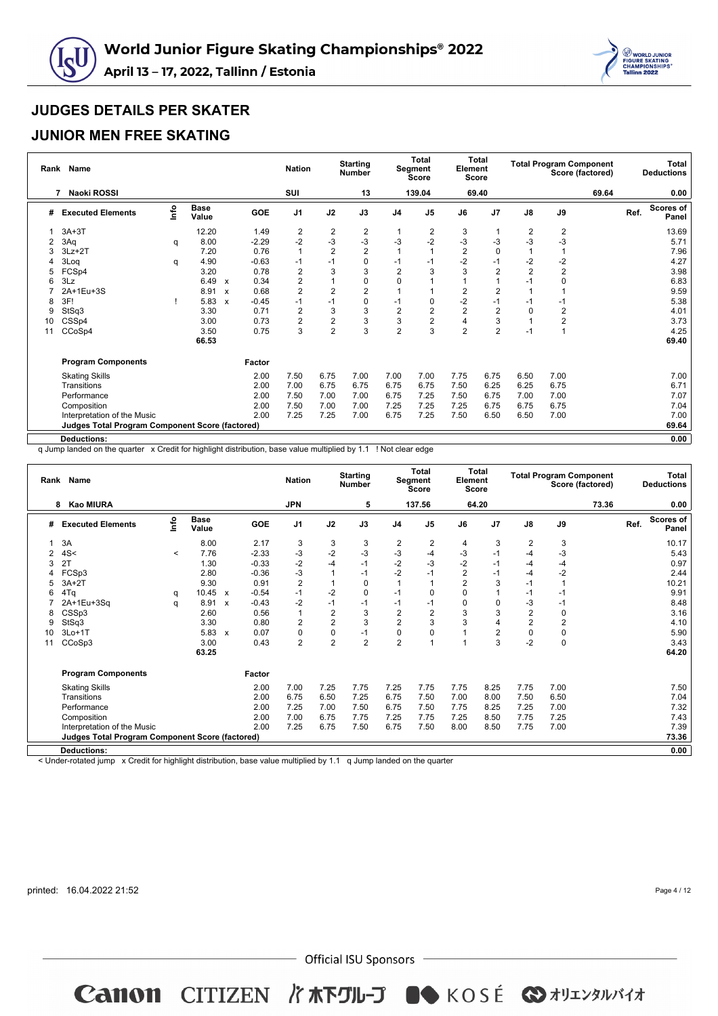



#### **JUNIOR MEN FREE SKATING**

| Rank | <b>Name</b>                                     |      |                      |                           |         | <b>Nation</b>  |                  | <b>Starting</b><br><b>Number</b> |                | <b>Total</b><br>Segment<br><b>Score</b> | Element        | <b>Total</b><br>Score |                |                | <b>Total Program Component</b><br>Score (factored) |      | <b>Total</b><br><b>Deductions</b> |
|------|-------------------------------------------------|------|----------------------|---------------------------|---------|----------------|------------------|----------------------------------|----------------|-----------------------------------------|----------------|-----------------------|----------------|----------------|----------------------------------------------------|------|-----------------------------------|
|      | Naoki ROSSI<br>7                                |      |                      |                           |         | SUI            |                  | 13                               |                | 139.04                                  |                | 69.40                 |                |                | 69.64                                              |      | 0.00                              |
| #    | <b>Executed Elements</b>                        | lnfo | <b>Base</b><br>Value |                           | GOE     | J <sub>1</sub> | J2               | J3                               | J <sub>4</sub> | J <sub>5</sub>                          | J6             | J <sub>7</sub>        | $\mathsf{J}8$  | J9             |                                                    | Ref. | <b>Scores of</b><br>Panel         |
|      | $3A+3T$                                         |      | 12.20                |                           | 1.49    | 2              | $\boldsymbol{2}$ | 2                                |                | 2                                       | 3              |                       | 2              | $\overline{c}$ |                                                    |      | 13.69                             |
| 2    | 3Aq                                             | q    | 8.00                 |                           | $-2.29$ | $-2$           | $-3$             | $-3$                             | -3             | $-2$                                    | $-3$           | -3                    | $-3$           | $-3$           |                                                    |      | 5.71                              |
| 3    | $3Lz + 2T$                                      |      | 7.20                 |                           | 0.76    | 1              | $\overline{2}$   | $\overline{2}$                   |                |                                         | $\overline{2}$ | $\Omega$              |                |                |                                                    |      | 7.96                              |
|      | 3Log                                            | q    | 4.90                 |                           | $-0.63$ | $-1$           | $-1$             | $\mathbf 0$                      | $-1$           | $-1$                                    | $-2$           | $-1$                  | $-2$           | $-2$           |                                                    |      | 4.27                              |
|      | FCSp4                                           |      | 3.20                 |                           | 0.78    | $\overline{2}$ | 3                | 3                                | $\overline{2}$ |                                         | 3              | $\overline{2}$        | $\overline{2}$ | $\overline{2}$ |                                                    |      | 3.98                              |
|      | 3Lz                                             |      | 6.49                 | $\boldsymbol{\mathsf{x}}$ | 0.34    | $\overline{2}$ |                  | 0                                | $\Omega$       |                                         |                |                       | $-1$           | 0              |                                                    |      | 6.83                              |
|      | 2A+1Eu+3S                                       |      | 8.91                 | $\boldsymbol{\mathsf{x}}$ | 0.68    | $\overline{2}$ | $\overline{2}$   | $\overline{2}$                   |                |                                         | 2              | 2                     |                |                |                                                    |      | 9.59                              |
| 8    | 3F!                                             |      | 5.83                 | $\boldsymbol{\mathsf{x}}$ | $-0.45$ | $-1$           | $-1$             | 0                                | $-1$           | $\Omega$                                | $-2$           | $-1$                  | -1             | -1             |                                                    |      | 5.38                              |
| 9    | StSq3                                           |      | 3.30                 |                           | 0.71    | 2              | 3                | 3                                | $\overline{2}$ | $\overline{2}$                          | $\overline{2}$ | $\overline{2}$        | 0              | $\overline{2}$ |                                                    |      | 4.01                              |
| 10   | CSSp4                                           |      | 3.00                 |                           | 0.73    | $\overline{2}$ | $\overline{2}$   | 3                                | 3              | 2                                       | $\overline{4}$ | 3                     | 1              | $\overline{2}$ |                                                    |      | 3.73                              |
| 11   | CCoSp4                                          |      | 3.50                 |                           | 0.75    | 3              | $\overline{2}$   | 3                                | $\overline{2}$ | 3                                       | $\overline{2}$ | $\overline{2}$        | $-1$           | 1              |                                                    |      | 4.25                              |
|      |                                                 |      | 66.53                |                           |         |                |                  |                                  |                |                                         |                |                       |                |                |                                                    |      | 69.40                             |
|      | <b>Program Components</b>                       |      |                      |                           | Factor  |                |                  |                                  |                |                                         |                |                       |                |                |                                                    |      |                                   |
|      | <b>Skating Skills</b>                           |      |                      |                           | 2.00    | 7.50           | 6.75             | 7.00                             | 7.00           | 7.00                                    | 7.75           | 6.75                  | 6.50           | 7.00           |                                                    |      | 7.00                              |
|      | Transitions                                     |      |                      |                           | 2.00    | 7.00           | 6.75             | 6.75                             | 6.75           | 6.75                                    | 7.50           | 6.25                  | 6.25           | 6.75           |                                                    |      | 6.71                              |
|      | Performance                                     |      |                      |                           | 2.00    | 7.50           | 7.00             | 7.00                             | 6.75           | 7.25                                    | 7.50           | 6.75                  | 7.00           | 7.00           |                                                    |      | 7.07                              |
|      | Composition                                     |      |                      |                           | 2.00    | 7.50           | 7.00             | 7.00                             | 7.25           | 7.25                                    | 7.25           | 6.75                  | 6.75           | 6.75           |                                                    |      | 7.04                              |
|      | Interpretation of the Music                     |      |                      |                           | 2.00    | 7.25           | 7.25             | 7.00                             | 6.75           | 7.25                                    | 7.50           | 6.50                  | 6.50           | 7.00           |                                                    |      | 7.00                              |
|      | Judges Total Program Component Score (factored) |      |                      |                           |         |                |                  |                                  |                |                                         |                |                       |                |                |                                                    |      | 69.64                             |
|      | <b>Deductions:</b>                              |      |                      |                           |         |                |                  |                                  |                |                                         |                |                       |                |                |                                                    |      | 0.00                              |

q Jump landed on the quarter x Credit for highlight distribution, base value multiplied by 1.1 ! Not clear edge

| Rank | Name                                                   |                                  |                      |                           |         | <b>Nation</b>  |                | <b>Starting</b><br><b>Number</b> |                | Total<br>Segment<br><b>Score</b> | Element<br><b>Score</b> | Total          |                | <b>Total Program Component</b> | Score (factored) |      | Total<br><b>Deductions</b> |
|------|--------------------------------------------------------|----------------------------------|----------------------|---------------------------|---------|----------------|----------------|----------------------------------|----------------|----------------------------------|-------------------------|----------------|----------------|--------------------------------|------------------|------|----------------------------|
|      | 8 Kao MIURA                                            |                                  |                      |                           |         | <b>JPN</b>     |                | 5                                |                | 137.56                           |                         | 64.20          |                |                                | 73.36            |      | 0.00                       |
| #    | <b>Executed Elements</b>                               | $\mathop{\mathsf{Irr}}\nolimits$ | <b>Base</b><br>Value |                           | GOE     | J <sub>1</sub> | J2             | J3                               | J <sub>4</sub> | J <sub>5</sub>                   | J6                      | J <sub>7</sub> | $\mathsf{J}8$  | J9                             |                  | Ref. | Scores of<br>Panel         |
|      | 3A                                                     |                                  | 8.00                 |                           | 2.17    | 3              | 3              | 3                                | $\overline{c}$ | 2                                | 4                       | 3              | $\overline{2}$ | 3                              |                  |      | 10.17                      |
|      | 4S<                                                    | $\,<\,$                          | 7.76                 |                           | $-2.33$ | -3             | $-2$           | $-3$                             | $-3$           | -4                               | -3                      | $-1$           | $-4$           | $-3$                           |                  |      | 5.43                       |
| 3    | 2T                                                     |                                  | 1.30                 |                           | $-0.33$ | $-2$           | $-4$           | $-1$                             | $-2$           | $-3$                             | $-2$                    | $-1$           | $-4$           | $-4$                           |                  |      | 0.97                       |
| 4    | FCSp3                                                  |                                  | 2.80                 |                           | $-0.36$ | -3             | $\overline{1}$ | $-1$                             | $-2$           | -1                               | $\overline{2}$          | $-1$           | $-4$           | $-2$                           |                  |      | 2.44                       |
| 5    | $3A+2T$                                                |                                  | 9.30                 |                           | 0.91    | $\overline{2}$ |                | 0                                |                |                                  | $\overline{2}$          | 3              | $-1$           |                                |                  |      | 10.21                      |
| 6    | 4Tq                                                    | q                                | 10.45                | $\boldsymbol{\mathsf{x}}$ | $-0.54$ | $-1$           | $-2$           | $\mathbf 0$                      | $-1$           |                                  | $\Omega$                | $\overline{1}$ | $-1$           | $-1$                           |                  |      | 9.91                       |
|      | 2A+1Eu+3Sa                                             | q                                | 8.91                 | $\boldsymbol{\mathsf{x}}$ | $-0.43$ | $-2$           | $-1$           | $-1$                             | $-1$           | $-1$                             | $\Omega$                | 0              | $-3$           | $-1$                           |                  |      | 8.48                       |
| 8    | CSSp3                                                  |                                  | 2.60                 |                           | 0.56    | 1              | $\mathbf 2$    | 3                                | $\overline{c}$ | $\overline{2}$                   | 3                       | 3              | $\mathbf 2$    | $\mathbf 0$                    |                  |      | 3.16                       |
| 9    | StSq3                                                  |                                  | 3.30                 |                           | 0.80    | $\overline{2}$ | $\overline{2}$ | 3                                | $\overline{2}$ | 3                                | 3                       | 4              | $\overline{2}$ | $\overline{2}$                 |                  |      | 4.10                       |
| 10   | $3Lo+1T$                                               |                                  | 5.83                 | $\boldsymbol{\mathsf{x}}$ | 0.07    | 0              | 0              | $-1$                             | $\pmb{0}$      |                                  |                         | $\overline{2}$ | 0              | $\mathbf 0$                    |                  |      | 5.90                       |
| 11   | CCoSp3                                                 |                                  | 3.00                 |                           | 0.43    | $\overline{2}$ | $\overline{2}$ | $\overline{2}$                   | $\overline{2}$ |                                  |                         | 3              | $-2$           | $\mathbf 0$                    |                  |      | 3.43                       |
|      |                                                        |                                  | 63.25                |                           |         |                |                |                                  |                |                                  |                         |                |                |                                |                  |      | 64.20                      |
|      | <b>Program Components</b>                              |                                  |                      |                           | Factor  |                |                |                                  |                |                                  |                         |                |                |                                |                  |      |                            |
|      | <b>Skating Skills</b>                                  |                                  |                      |                           | 2.00    | 7.00           | 7.25           | 7.75                             | 7.25           | 7.75                             | 7.75                    | 8.25           | 7.75           | 7.00                           |                  |      | 7.50                       |
|      | Transitions                                            |                                  |                      |                           | 2.00    | 6.75           | 6.50           | 7.25                             | 6.75           | 7.50                             | 7.00                    | 8.00           | 7.50           | 6.50                           |                  |      | 7.04                       |
|      | Performance                                            |                                  |                      |                           | 2.00    | 7.25           | 7.00           | 7.50                             | 6.75           | 7.50                             | 7.75                    | 8.25           | 7.25           | 7.00                           |                  |      | 7.32                       |
|      | Composition                                            |                                  |                      |                           | 2.00    | 7.00           | 6.75           | 7.75                             | 7.25           | 7.75                             | 7.25                    | 8.50           | 7.75           | 7.25                           |                  |      | 7.43                       |
|      | Interpretation of the Music                            |                                  |                      |                           | 2.00    | 7.25           | 6.75           | 7.50                             | 6.75           | 7.50                             | 8.00                    | 8.50           | 7.75           | 7.00                           |                  |      | 7.39                       |
|      | <b>Judges Total Program Component Score (factored)</b> |                                  |                      |                           |         |                |                |                                  |                |                                  |                         |                |                |                                |                  |      | 73.36                      |
|      | <b>Deductions:</b>                                     |                                  |                      |                           |         |                |                |                                  |                |                                  |                         |                |                |                                |                  |      | 0.00                       |
|      |                                                        |                                  |                      |                           |         |                |                |                                  |                |                                  |                         |                |                |                                |                  |      |                            |

< Under-rotated jump x Credit for highlight distribution, base value multiplied by 1.1 q Jump landed on the quarter

printed: 16.04.2022 21:52

Page 4 / 12

 $-$  Official ISU Sponsors  $-$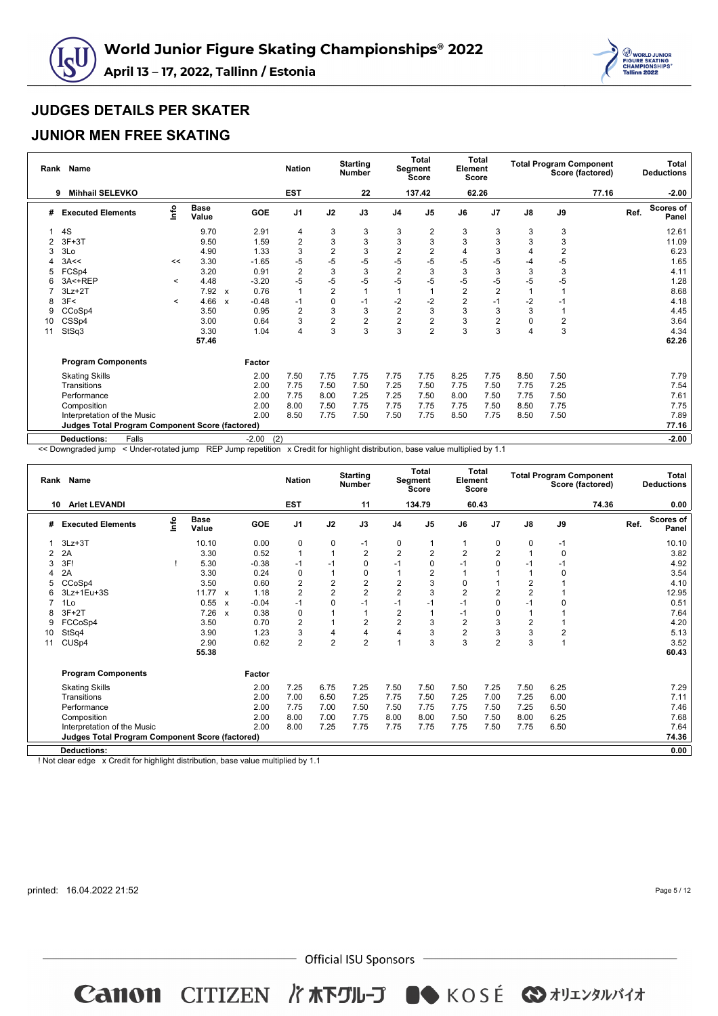



#### **JUNIOR MEN FREE SKATING**

| Rank | <b>Name</b>                                     |         |                      |                           |                | <b>Nation</b>  |                | <b>Starting</b><br><b>Number</b> |                | <b>Total</b><br>Segment<br><b>Score</b> | Element        | <b>Total</b><br><b>Score</b> |               | <b>Total Program Component</b> | Score (factored) |      | Total<br><b>Deductions</b> |
|------|-------------------------------------------------|---------|----------------------|---------------------------|----------------|----------------|----------------|----------------------------------|----------------|-----------------------------------------|----------------|------------------------------|---------------|--------------------------------|------------------|------|----------------------------|
|      | <b>Mihhail SELEVKO</b><br>9                     |         |                      |                           |                | <b>EST</b>     |                | 22                               |                | 137.42                                  |                | 62.26                        |               |                                | 77.16            |      | $-2.00$                    |
| #    | <b>Executed Elements</b>                        | Info    | <b>Base</b><br>Value |                           | <b>GOE</b>     | J <sub>1</sub> | J2             | J3                               | J <sub>4</sub> | J <sub>5</sub>                          | J6             | J7                           | $\mathsf{J}8$ | J9                             |                  | Ref. | <b>Scores of</b><br>Panel  |
|      | 4S                                              |         | 9.70                 |                           | 2.91           | 4              | 3              | 3                                | 3              | 2                                       | 3              | 3                            | 3             | 3                              |                  |      | 12.61                      |
| 2    | $3F+3T$                                         |         | 9.50                 |                           | 1.59           | $\overline{2}$ | 3              | 3                                | 3              | 3                                       | 3              | 3                            | 3             | 3                              |                  |      | 11.09                      |
| 3    | 3Lo                                             |         | 4.90                 |                           | 1.33           | 3              | $\overline{2}$ | 3                                | $\overline{c}$ | $\overline{2}$                          | 4              | 3                            | 4             | $\overline{2}$                 |                  |      | 6.23                       |
|      | 3A<<                                            | <<      | 3.30                 |                           | $-1.65$        | -5             | $-5$           | $-5$                             | $-5$           | $-5$                                    | $-5$           | -5                           | -4            | $-5$                           |                  |      | 1.65                       |
| 5    | FCSp4                                           |         | 3.20                 |                           | 0.91           | $\overline{2}$ | 3              | 3                                | $\overline{2}$ | 3                                       | 3              | 3                            | 3             | 3                              |                  |      | 4.11                       |
|      | 3A<+REP                                         | $\prec$ | 4.48                 |                           | $-3.20$        | $-5$           | -5             | $-5$                             | $-5$           | $-5$                                    | $-5$           | -5                           | -5            | -5                             |                  |      | 1.28                       |
|      | $3Lz + 2T$                                      |         | 7.92 x               |                           | 0.76           | $\mathbf{1}$   | $\overline{2}$ |                                  |                |                                         | $\overline{2}$ | $\overline{2}$               |               |                                |                  |      | 8.68                       |
| 8    | 3F<                                             | $\prec$ | 4.66                 | $\boldsymbol{\mathsf{x}}$ | $-0.48$        | $-1$           | $\mathbf 0$    | $-1$                             | $-2$           | $-2$                                    | $\overline{2}$ | $-1$                         | $-2$          | $-1$                           |                  |      | 4.18                       |
| 9    | CCoSp4                                          |         | 3.50                 |                           | 0.95           | $\overline{2}$ | 3              | 3                                | $\overline{2}$ | 3                                       | 3              | 3                            | 3             | 1                              |                  |      | 4.45                       |
| 10   | CSSp4                                           |         | 3.00                 |                           | 0.64           | 3              | $\overline{2}$ | $\overline{2}$                   | $\overline{2}$ | $\overline{2}$                          | 3              | $\overline{2}$               | 0             | $\overline{2}$                 |                  |      | 3.64                       |
| 11   | StSq3                                           |         | 3.30                 |                           | 1.04           | 4              | 3              | 3                                | 3              | $\overline{2}$                          | 3              | 3                            | 4             | 3                              |                  |      | 4.34                       |
|      |                                                 |         | 57.46                |                           |                |                |                |                                  |                |                                         |                |                              |               |                                |                  |      | 62.26                      |
|      | <b>Program Components</b>                       |         |                      |                           | Factor         |                |                |                                  |                |                                         |                |                              |               |                                |                  |      |                            |
|      | <b>Skating Skills</b>                           |         |                      |                           | 2.00           | 7.50           | 7.75           | 7.75                             | 7.75           | 7.75                                    | 8.25           | 7.75                         | 8.50          | 7.50                           |                  |      | 7.79                       |
|      | Transitions                                     |         |                      |                           | 2.00           | 7.75           | 7.50           | 7.50                             | 7.25           | 7.50                                    | 7.75           | 7.50                         | 7.75          | 7.25                           |                  |      | 7.54                       |
|      | Performance                                     |         |                      |                           | 2.00           | 7.75           | 8.00           | 7.25                             | 7.25           | 7.50                                    | 8.00           | 7.50                         | 7.75          | 7.50                           |                  |      | 7.61                       |
|      | Composition                                     |         |                      |                           | 2.00           | 8.00           | 7.50           | 7.75                             | 7.75           | 7.75                                    | 7.75           | 7.50                         | 8.50          | 7.75                           |                  |      | 7.75                       |
|      | Interpretation of the Music                     |         |                      |                           | 2.00           | 8.50           | 7.75           | 7.50                             | 7.50           | 7.75                                    | 8.50           | 7.75                         | 8.50          | 7.50                           |                  |      | 7.89                       |
|      | Judges Total Program Component Score (factored) |         |                      |                           |                |                |                |                                  |                |                                         |                |                              |               |                                |                  |      | 77.16                      |
|      | Falls<br><b>Deductions:</b>                     |         |                      |                           | (2)<br>$-2.00$ |                |                |                                  |                |                                         |                |                              |               |                                |                  |      | $-2.00$                    |

<< Downgraded jump < Under-rotated jump REP Jump repetition x Credit for highlight distribution, base value multiplied by 1.1

| <b>Arlet LEVANDI</b><br><b>EST</b><br>134.79<br>74.36<br>11<br>60.43<br>10<br>Info<br><b>Base</b><br>$\mathsf{J}8$<br>$\mathsf{J}9$<br>GOE<br>J1<br>J2<br>J3<br>J <sub>5</sub><br>J <sub>7</sub><br>Ref.<br><b>Executed Elements</b><br>J <sub>4</sub><br>J6<br>#<br>Value<br>$\pmb{0}$<br>$\pmb{0}$<br>$3Lz + 3T$<br>10.10<br>0.00<br>0<br>0<br>0<br>$-1$<br>$-1$<br>$\overline{2}$<br>$\overline{2}$<br>2<br>$\overline{2}$<br>3.30<br>0.52<br>$\mathbf{1}$<br>$\mathbf 0$<br>2A<br>$\mathbf{1}$<br>2<br>1<br>3F!<br>5.30<br>$-1$<br>$\Omega$<br>$-1$<br>$\Omega$<br>$-0.38$<br>$-1$<br>0<br>$-1$<br>$-1$<br>$-1$<br>3<br>2A<br>3.30<br>0.24<br>0<br>1<br>0<br>2<br>$\Omega$<br>4<br>$\overline{c}$<br>$\overline{2}$<br>$\overline{2}$<br>$\overline{2}$<br>3.50<br>2<br>0.60<br>3<br>CCoSp4<br>0<br>$\overline{2}$<br>$\overline{2}$<br>$\overline{2}$<br>$\overline{2}$<br>$\overline{2}$<br>$\overline{2}$<br>$\overline{2}$<br>3<br>3Lz+1Eu+3S<br>11.77<br>1.18<br>6<br>$\mathbf{x}$ | Total<br><b>Deductions</b> |
|---------------------------------------------------------------------------------------------------------------------------------------------------------------------------------------------------------------------------------------------------------------------------------------------------------------------------------------------------------------------------------------------------------------------------------------------------------------------------------------------------------------------------------------------------------------------------------------------------------------------------------------------------------------------------------------------------------------------------------------------------------------------------------------------------------------------------------------------------------------------------------------------------------------------------------------------------------------------------------------------|----------------------------|
|                                                                                                                                                                                                                                                                                                                                                                                                                                                                                                                                                                                                                                                                                                                                                                                                                                                                                                                                                                                             | 0.00                       |
|                                                                                                                                                                                                                                                                                                                                                                                                                                                                                                                                                                                                                                                                                                                                                                                                                                                                                                                                                                                             | Scores of<br>Panel         |
|                                                                                                                                                                                                                                                                                                                                                                                                                                                                                                                                                                                                                                                                                                                                                                                                                                                                                                                                                                                             | 10.10                      |
|                                                                                                                                                                                                                                                                                                                                                                                                                                                                                                                                                                                                                                                                                                                                                                                                                                                                                                                                                                                             | 3.82                       |
|                                                                                                                                                                                                                                                                                                                                                                                                                                                                                                                                                                                                                                                                                                                                                                                                                                                                                                                                                                                             | 4.92                       |
|                                                                                                                                                                                                                                                                                                                                                                                                                                                                                                                                                                                                                                                                                                                                                                                                                                                                                                                                                                                             | 3.54                       |
|                                                                                                                                                                                                                                                                                                                                                                                                                                                                                                                                                                                                                                                                                                                                                                                                                                                                                                                                                                                             | 4.10                       |
|                                                                                                                                                                                                                                                                                                                                                                                                                                                                                                                                                                                                                                                                                                                                                                                                                                                                                                                                                                                             | 12.95                      |
| $-0.04$<br>$-1$<br>0<br>$-1$<br>0.55<br>$-1$<br>$-1$<br>0<br>$-1$<br>1Lo<br>$-1$<br>C<br>$\boldsymbol{\mathsf{x}}$                                                                                                                                                                                                                                                                                                                                                                                                                                                                                                                                                                                                                                                                                                                                                                                                                                                                          | 0.51                       |
| $\overline{2}$<br>7.26<br>1<br>$3F+2T$<br>0.38<br>0<br>0<br>$-1$<br>8<br>$\mathbf{x}$                                                                                                                                                                                                                                                                                                                                                                                                                                                                                                                                                                                                                                                                                                                                                                                                                                                                                                       | 7.64                       |
| $\overline{2}$<br>$\overline{2}$<br>2<br>2<br>$\overline{2}$<br>3.50<br>0.70<br>3<br>3<br>FCCoSp4<br>1<br>9                                                                                                                                                                                                                                                                                                                                                                                                                                                                                                                                                                                                                                                                                                                                                                                                                                                                                 | 4.20                       |
| $\overline{2}$<br>3<br>3<br>4<br>4<br>3<br>3<br>$\overline{2}$<br>StSq4<br>3.90<br>1.23<br>4<br>10                                                                                                                                                                                                                                                                                                                                                                                                                                                                                                                                                                                                                                                                                                                                                                                                                                                                                          | 5.13                       |
| $\overline{2}$<br>$\overline{2}$<br>$\overline{2}$<br>3<br>CUS <sub>p4</sub><br>2.90<br>0.62<br>3<br>3<br>$\overline{2}$<br>11                                                                                                                                                                                                                                                                                                                                                                                                                                                                                                                                                                                                                                                                                                                                                                                                                                                              | 3.52                       |
| 55.38                                                                                                                                                                                                                                                                                                                                                                                                                                                                                                                                                                                                                                                                                                                                                                                                                                                                                                                                                                                       | 60.43                      |
| <b>Program Components</b><br>Factor                                                                                                                                                                                                                                                                                                                                                                                                                                                                                                                                                                                                                                                                                                                                                                                                                                                                                                                                                         |                            |
| 7.50<br>7.25<br>6.75<br>7.25<br>7.50<br>7.50<br>7.25<br>7.50<br>6.25<br><b>Skating Skills</b><br>2.00                                                                                                                                                                                                                                                                                                                                                                                                                                                                                                                                                                                                                                                                                                                                                                                                                                                                                       | 7.29                       |
| 2.00<br>7.00<br>6.50<br>7.25<br>7.00<br>7.25<br>6.00<br>Transitions<br>7.25<br>7.75<br>7.50                                                                                                                                                                                                                                                                                                                                                                                                                                                                                                                                                                                                                                                                                                                                                                                                                                                                                                 | 7.11                       |
| Performance<br>2.00<br>7.75<br>7.75<br>7.75<br>7.50<br>7.25<br>6.50<br>7.00<br>7.50<br>7.50                                                                                                                                                                                                                                                                                                                                                                                                                                                                                                                                                                                                                                                                                                                                                                                                                                                                                                 | 7.46                       |
| 2.00<br>8.00<br>8.00<br>7.50<br>7.50<br>8.00<br>6.25<br>Composition<br>7.00<br>7.75<br>8.00                                                                                                                                                                                                                                                                                                                                                                                                                                                                                                                                                                                                                                                                                                                                                                                                                                                                                                 | 7.68                       |
| 2.00<br>8.00<br>7.25<br>7.75<br>7.75<br>7.50<br>7.75<br>6.50<br>Interpretation of the Music<br>7.75<br>7.75                                                                                                                                                                                                                                                                                                                                                                                                                                                                                                                                                                                                                                                                                                                                                                                                                                                                                 | 7.64                       |
| <b>Judges Total Program Component Score (factored)</b>                                                                                                                                                                                                                                                                                                                                                                                                                                                                                                                                                                                                                                                                                                                                                                                                                                                                                                                                      | 74.36                      |
| <b>Deductions:</b>                                                                                                                                                                                                                                                                                                                                                                                                                                                                                                                                                                                                                                                                                                                                                                                                                                                                                                                                                                          | 0.00                       |

! Not clear edge x Credit for highlight distribution, base value multiplied by 1.1

printed: 16.04.2022 21:52

Page 5 / 12

 $-$  Official ISU Sponsors  $-$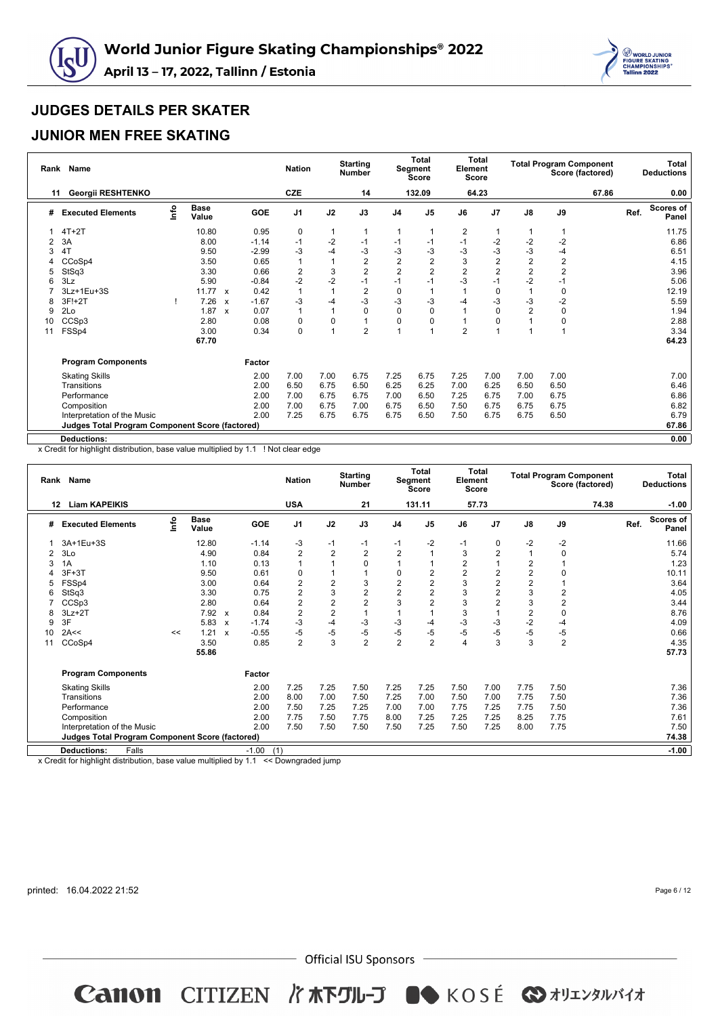



## **JUNIOR MEN FREE SKATING**

| Rank           | <b>Name</b>                                     |      |                      |                           |            | <b>Nation</b>           |                | <b>Starting</b><br><b>Number</b> |                | <b>Total</b><br>Segment<br>Score | Element        | <b>Total</b><br><b>Score</b> |                |                | <b>Total Program Component</b><br>Score (factored) |      | <b>Total</b><br><b>Deductions</b> |
|----------------|-------------------------------------------------|------|----------------------|---------------------------|------------|-------------------------|----------------|----------------------------------|----------------|----------------------------------|----------------|------------------------------|----------------|----------------|----------------------------------------------------|------|-----------------------------------|
| 11             | Georgii RESHTENKO                               |      |                      |                           |            | <b>CZE</b>              |                | 14                               |                | 132.09                           |                | 64.23                        |                |                | 67.86                                              |      | 0.00                              |
| #              | <b>Executed Elements</b>                        | lnfo | <b>Base</b><br>Value |                           | <b>GOE</b> | J <sub>1</sub>          | J2             | J3                               | J <sub>4</sub> | J <sub>5</sub>                   | J6             | J7                           | $\mathsf{J}8$  | J9             |                                                    | Ref. | <b>Scores of</b><br>Panel         |
|                | $4T+2T$                                         |      | 10.80                |                           | 0.95       | 0                       | 1              |                                  |                |                                  | 2              | 1                            |                |                |                                                    |      | 11.75                             |
| $\overline{2}$ | 3A                                              |      | 8.00                 |                           | $-1.14$    | $-1$                    | $-2$           | -1                               | $-1$           | -1                               | $-1$           | $-2$                         | $-2$           | $-2$           |                                                    |      | 6.86                              |
| 3              | 4T                                              |      | 9.50                 |                           | $-2.99$    | $-3$                    | $-4$           | -3                               | -3             | -3                               | $-3$           | -3                           | $-3$           | -4             |                                                    |      | 6.51                              |
|                | CCoSp4                                          |      | 3.50                 |                           | 0.65       | $\mathbf{1}$            | $\mathbf{1}$   | $\overline{c}$                   | $\overline{c}$ | $\overline{2}$                   | 3              | $\overline{2}$               | $\overline{2}$ | $\overline{2}$ |                                                    |      | 4.15                              |
| 5              | StSq3                                           |      | 3.30                 |                           | 0.66       | $\overline{\mathbf{c}}$ | 3              | 2                                | $\overline{2}$ | $\overline{2}$                   | $\overline{2}$ | $\overline{2}$               | $\overline{c}$ | $\overline{2}$ |                                                    |      | 3.96                              |
|                | 3Lz                                             |      | 5.90                 |                           | $-0.84$    | $-2$                    | $-2$           | $-1$                             | $-1$           | -1                               | -3             | $-1$                         | $-2$           | $-1$           |                                                    |      | 5.06                              |
|                | 3Lz+1Eu+3S                                      |      | $11.77 \times$       |                           | 0.42       | $\overline{1}$          | $\overline{1}$ | 2                                | 0              |                                  |                | 0                            |                | 0              |                                                    |      | 12.19                             |
| 8              | 3F!+2T                                          |      | 7.26                 | $\mathbf{x}$              | $-1.67$    | $-3$                    | $-4$           | $-3$                             | $-3$           | -3                               | $-4$           | $-3$                         | $-3$           | $-2$           |                                                    |      | 5.59                              |
| 9              | 2Lo                                             |      | 1.87                 | $\boldsymbol{\mathsf{x}}$ | 0.07       | $\mathbf{1}$            | $\mathbf{1}$   | $\mathbf 0$                      | 0              | 0                                |                | $\mathbf 0$                  | $\overline{2}$ | $\mathbf 0$    |                                                    |      | 1.94                              |
| 10             | CCSp3                                           |      | 2.80                 |                           | 0.08       | 0                       | $\mathbf 0$    |                                  | $\Omega$       | 0                                | 1              | 0                            |                | $\mathbf 0$    |                                                    |      | 2.88                              |
| 11             | FSSp4                                           |      | 3.00                 |                           | 0.34       | $\pmb{0}$               | $\overline{1}$ | $\overline{2}$                   |                |                                  | $\overline{2}$ | $\overline{ }$               |                | 1              |                                                    |      | 3.34                              |
|                |                                                 |      | 67.70                |                           |            |                         |                |                                  |                |                                  |                |                              |                |                |                                                    |      | 64.23                             |
|                | <b>Program Components</b>                       |      |                      |                           | Factor     |                         |                |                                  |                |                                  |                |                              |                |                |                                                    |      |                                   |
|                | <b>Skating Skills</b>                           |      |                      |                           | 2.00       | 7.00                    | 7.00           | 6.75                             | 7.25           | 6.75                             | 7.25           | 7.00                         | 7.00           | 7.00           |                                                    |      | 7.00                              |
|                | Transitions                                     |      |                      |                           | 2.00       | 6.50                    | 6.75           | 6.50                             | 6.25           | 6.25                             | 7.00           | 6.25                         | 6.50           | 6.50           |                                                    |      | 6.46                              |
|                | Performance                                     |      |                      |                           | 2.00       | 7.00                    | 6.75           | 6.75                             | 7.00           | 6.50                             | 7.25           | 6.75                         | 7.00           | 6.75           |                                                    |      | 6.86                              |
|                | Composition                                     |      |                      |                           | 2.00       | 7.00                    | 6.75           | 7.00                             | 6.75           | 6.50                             | 7.50           | 6.75                         | 6.75           | 6.75           |                                                    |      | 6.82                              |
|                | Interpretation of the Music                     |      |                      |                           | 2.00       | 7.25                    | 6.75           | 6.75                             | 6.75           | 6.50                             | 7.50           | 6.75                         | 6.75           | 6.50           |                                                    |      | 6.79                              |
|                | Judges Total Program Component Score (factored) |      |                      |                           |            |                         |                |                                  |                |                                  |                |                              |                |                |                                                    |      | 67.86                             |
|                | <b>Deductions:</b>                              |      |                      |                           |            |                         |                |                                  |                |                                  |                |                              |                |                |                                                    |      | 0.00                              |

x Credit for highlight distribution, base value multiplied by 1.1 ! Not clear edge

| Rank | <b>Name</b>                                     |    |                      |                           |                | <b>Nation</b>  |                | <b>Starting</b><br><b>Number</b> |                | <b>Total</b><br>Segment<br><b>Score</b> | Element        | <b>Total</b><br><b>Score</b> |                | <b>Total Program Component</b> | Score (factored) |      | <b>Total</b><br><b>Deductions</b> |
|------|-------------------------------------------------|----|----------------------|---------------------------|----------------|----------------|----------------|----------------------------------|----------------|-----------------------------------------|----------------|------------------------------|----------------|--------------------------------|------------------|------|-----------------------------------|
| 12   | <b>Liam KAPEIKIS</b>                            |    |                      |                           |                | <b>USA</b>     |                | 21                               |                | 131.11                                  |                | 57.73                        |                |                                | 74.38            |      | $-1.00$                           |
| #    | <b>Executed Elements</b>                        | ۴o | <b>Base</b><br>Value |                           | <b>GOE</b>     | J <sub>1</sub> | J2             | J3                               | J <sub>4</sub> | J <sub>5</sub>                          | J6             | J <sub>7</sub>               | $\mathsf{J}8$  | J9                             |                  | Ref. | <b>Scores of</b><br>Panel         |
|      | 3A+1Eu+3S                                       |    | 12.80                |                           | $-1.14$        | -3             | -1             | $-1$                             | $-1$           | $-2$                                    | $-1$           | 0                            | $-2$           | $-2$                           |                  |      | 11.66                             |
| 2    | 3Lo                                             |    | 4.90                 |                           | 0.84           | $\overline{2}$ | $\overline{2}$ | $\overline{2}$                   | $\overline{2}$ |                                         | 3              | $\overline{2}$               | $\overline{1}$ | $\mathbf 0$                    |                  |      | 5.74                              |
| 3    | 1A                                              |    | 1.10                 |                           | 0.13           | $\mathbf{1}$   |                | $\Omega$                         | 1              |                                         | $\overline{2}$ | $\overline{1}$               | $\overline{2}$ | 1                              |                  |      | 1.23                              |
|      | $3F+3T$                                         |    | 9.50                 |                           | 0.61           | 0              |                |                                  | $\mathbf 0$    | 2                                       | $\overline{2}$ | $\overline{2}$               | 2              | 0                              |                  |      | 10.11                             |
| 5    | FSSp4                                           |    | 3.00                 |                           | 0.64           | 2              | $\overline{2}$ | 3                                | $\overline{2}$ | $\overline{2}$                          | 3              | 2                            | $\overline{2}$ | 1                              |                  |      | 3.64                              |
| 6    | StSq3                                           |    | 3.30                 |                           | 0.75           | $\overline{2}$ | 3              | $\overline{2}$                   | $\overline{2}$ | $\overline{2}$                          | 3              | $\overline{2}$               | 3              | $\overline{2}$                 |                  |      | 4.05                              |
|      | CCSp3                                           |    | 2.80                 |                           | 0.64           | 2              | $\overline{c}$ | $\overline{2}$                   | 3              | $\overline{2}$                          | 3              | 2                            | 3              | $\overline{2}$                 |                  |      | 3.44                              |
| 8    | $3Lz + 2T$                                      |    | 7.92 x               |                           | 0.84           | $\overline{c}$ | $\overline{2}$ |                                  |                |                                         | 3              | $\overline{1}$               | $\overline{2}$ | $\mathbf 0$                    |                  |      | 8.76                              |
| 9    | 3F                                              |    | 5.83                 | $\boldsymbol{\mathsf{x}}$ | $-1.74$        | $-3$           | $-4$           | $-3$                             | $-3$           | -4                                      | $-3$           | $-3$                         | $-2$           | $-4$                           |                  |      | 4.09                              |
| 10   | 2A<<                                            | << | 1.21                 | $\mathsf{x}$              | $-0.55$        | $-5$           | $-5$           | $-5$                             | -5             | $-5$                                    | $-5$           | $-5$                         | $-5$           | $-5$                           |                  |      | 0.66                              |
| 11   | CCoSp4                                          |    | 3.50                 |                           | 0.85           | 2              | 3              | $\overline{2}$                   | $\overline{2}$ | $\overline{2}$                          | 4              | 3                            | 3              | $\overline{2}$                 |                  |      | 4.35                              |
|      |                                                 |    | 55.86                |                           |                |                |                |                                  |                |                                         |                |                              |                |                                |                  |      | 57.73                             |
|      | <b>Program Components</b>                       |    |                      |                           | Factor         |                |                |                                  |                |                                         |                |                              |                |                                |                  |      |                                   |
|      | <b>Skating Skills</b>                           |    |                      |                           | 2.00           | 7.25           | 7.25           | 7.50                             | 7.25           | 7.25                                    | 7.50           | 7.00                         | 7.75           | 7.50                           |                  |      | 7.36                              |
|      | Transitions                                     |    |                      |                           | 2.00           | 8.00           | 7.00           | 7.50                             | 7.25           | 7.00                                    | 7.50           | 7.00                         | 7.75           | 7.50                           |                  |      | 7.36                              |
|      | Performance                                     |    |                      |                           | 2.00           | 7.50           | 7.25           | 7.25                             | 7.00           | 7.00                                    | 7.75           | 7.25                         | 7.75           | 7.50                           |                  |      | 7.36                              |
|      | Composition                                     |    |                      |                           | 2.00           | 7.75           | 7.50           | 7.75                             | 8.00           | 7.25                                    | 7.25           | 7.25                         | 8.25           | 7.75                           |                  |      | 7.61                              |
|      | Interpretation of the Music                     |    |                      |                           | 2.00           | 7.50           | 7.50           | 7.50                             | 7.50           | 7.25                                    | 7.50           | 7.25                         | 8.00           | 7.75                           |                  |      | 7.50                              |
|      | Judges Total Program Component Score (factored) |    |                      |                           |                |                |                |                                  |                |                                         |                |                              |                |                                |                  |      | 74.38                             |
|      | <b>Deductions:</b><br>Falls                     |    |                      |                           | $-1.00$<br>(1) |                |                |                                  |                |                                         |                |                              |                |                                |                  |      | $-1.00$                           |

x Credit for highlight distribution, base value multiplied by 1.1 << Downgraded jump

printed: 16.04.2022 21:52

Page 6 / 12

 $-$  Official ISU Sponsors  $-$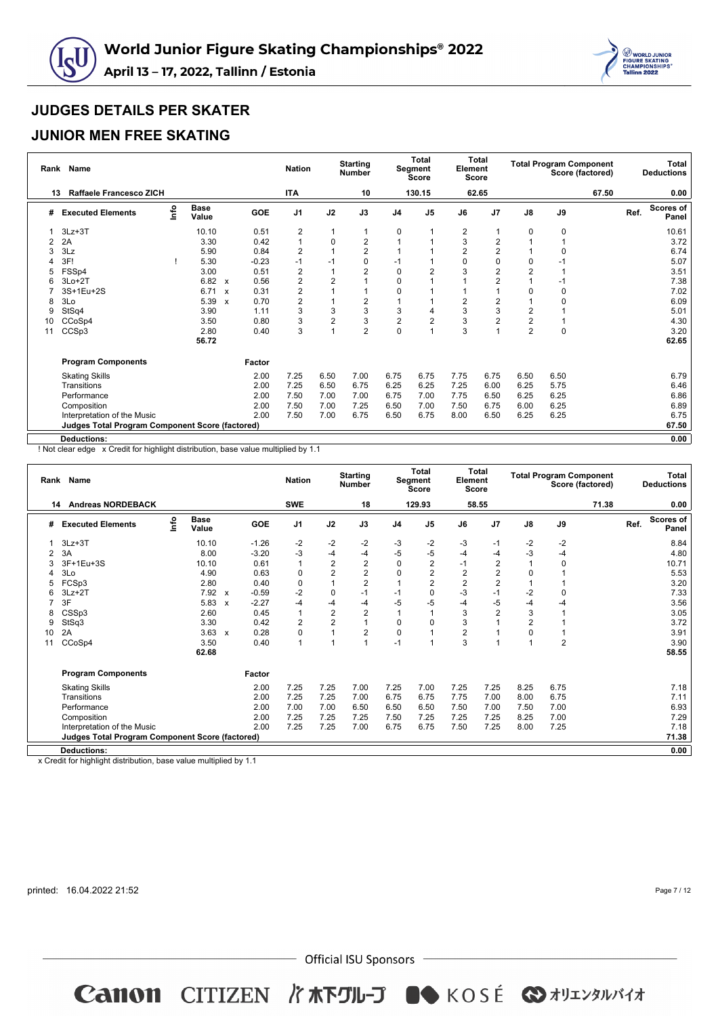



## **JUNIOR MEN FREE SKATING**

| Rank | <b>Name</b>                                            |      |                      |                           |            | <b>Nation</b>  |                | <b>Starting</b><br><b>Number</b> |                | <b>Total</b><br>Segment<br>Score | Element<br>Score | <b>Total</b>   |                |             | <b>Total Program Component</b><br>Score (factored) |      | <b>Total</b><br><b>Deductions</b> |
|------|--------------------------------------------------------|------|----------------------|---------------------------|------------|----------------|----------------|----------------------------------|----------------|----------------------------------|------------------|----------------|----------------|-------------|----------------------------------------------------|------|-----------------------------------|
| 13   | <b>Raffaele Francesco ZICH</b>                         |      |                      |                           |            | <b>ITA</b>     |                | 10                               |                | 130.15                           |                  | 62.65          |                |             | 67.50                                              |      | 0.00                              |
| #    | <b>Executed Elements</b>                               | lnfo | <b>Base</b><br>Value |                           | <b>GOE</b> | J <sub>1</sub> | J2             | J3                               | J <sub>4</sub> | J <sub>5</sub>                   | J6               | J7             | $\mathsf{J}8$  | J9          |                                                    | Ref. | <b>Scores of</b><br>Panel         |
|      | $3Lz + 3T$                                             |      | 10.10                |                           | 0.51       | $\overline{2}$ | $\mathbf{1}$   |                                  | $\mathbf 0$    |                                  | 2                | 1              | 0              | 0           |                                                    |      | 10.61                             |
| 2    | 2A                                                     |      | 3.30                 |                           | 0.42       | $\mathbf{1}$   | $\mathbf 0$    | 2                                |                |                                  | 3                | $\overline{2}$ |                |             |                                                    |      | 3.72                              |
|      | 3Lz                                                    |      | 5.90                 |                           | 0.84       | $\overline{2}$ |                | 2                                |                |                                  | $\overline{2}$   | $\overline{2}$ |                | $\mathbf 0$ |                                                    |      | 6.74                              |
|      | 3F!                                                    |      | 5.30                 |                           | $-0.23$    | $-1$           | $-1$           | 0                                | $-1$           |                                  | 0                | 0              | 0              |             |                                                    |      | 5.07                              |
| 5    | FSSp4                                                  |      | 3.00                 |                           | 0.51       | $\overline{2}$ | $\overline{1}$ | $\overline{2}$                   | $\Omega$       | 2                                | 3                | 2              | 2              |             |                                                    |      | 3.51                              |
|      | $3Lo+2T$                                               |      | 6.82                 | $\boldsymbol{\mathsf{x}}$ | 0.56       | $\overline{2}$ | $\overline{2}$ |                                  | 0              |                                  |                  | $\overline{2}$ |                | -1          |                                                    |      | 7.38                              |
|      | 3S+1Eu+2S                                              |      | 6.71                 | $\boldsymbol{\mathsf{x}}$ | 0.31       | 2              |                |                                  | $\Omega$       |                                  |                  |                | 0              | $\mathbf 0$ |                                                    |      | 7.02                              |
|      | 3Lo                                                    |      | 5.39                 | $\boldsymbol{\mathsf{x}}$ | 0.70       | $\overline{2}$ |                | 2                                |                |                                  | 2                | $\overline{2}$ |                | $\Omega$    |                                                    |      | 6.09                              |
| 9    | StSq4                                                  |      | 3.90                 |                           | 1.11       | 3              | 3              | 3                                | 3              | 4                                | 3                | 3              | 2              |             |                                                    |      | 5.01                              |
| 10   | CCoSp4                                                 |      | 3.50                 |                           | 0.80       | 3              | $\overline{2}$ | 3                                | $\overline{c}$ | $\overline{2}$                   | 3                | $\overline{2}$ | $\overline{2}$ |             |                                                    |      | 4.30                              |
| 11   | CCSp3                                                  |      | 2.80                 |                           | 0.40       | 3              | 1              | $\overline{2}$                   | 0              |                                  | 3                | 1              | $\overline{2}$ | $\mathbf 0$ |                                                    |      | 3.20                              |
|      |                                                        |      | 56.72                |                           |            |                |                |                                  |                |                                  |                  |                |                |             |                                                    |      | 62.65                             |
|      | <b>Program Components</b>                              |      |                      |                           | Factor     |                |                |                                  |                |                                  |                  |                |                |             |                                                    |      |                                   |
|      | <b>Skating Skills</b>                                  |      |                      |                           | 2.00       | 7.25           | 6.50           | 7.00                             | 6.75           | 6.75                             | 7.75             | 6.75           | 6.50           | 6.50        |                                                    |      | 6.79                              |
|      | Transitions                                            |      |                      |                           | 2.00       | 7.25           | 6.50           | 6.75                             | 6.25           | 6.25                             | 7.25             | 6.00           | 6.25           | 5.75        |                                                    |      | 6.46                              |
|      | Performance                                            |      |                      |                           | 2.00       | 7.50           | 7.00           | 7.00                             | 6.75           | 7.00                             | 7.75             | 6.50           | 6.25           | 6.25        |                                                    |      | 6.86                              |
|      | Composition                                            |      |                      |                           | 2.00       | 7.50           | 7.00           | 7.25                             | 6.50           | 7.00                             | 7.50             | 6.75           | 6.00           | 6.25        |                                                    |      | 6.89                              |
|      | Interpretation of the Music                            |      |                      |                           | 2.00       | 7.50           | 7.00           | 6.75                             | 6.50           | 6.75                             | 8.00             | 6.50           | 6.25           | 6.25        |                                                    |      | 6.75                              |
|      | <b>Judges Total Program Component Score (factored)</b> |      |                      |                           |            |                |                |                                  |                |                                  |                  |                |                |             |                                                    |      | 67.50                             |
|      | <b>Deductions:</b>                                     |      |                      |                           |            |                |                |                                  |                |                                  |                  |                |                |             |                                                    |      | 0.00                              |

! Not clear edge x Credit for highlight distribution, base value multiplied by 1.1

|    | Rank Name                                                                                                                                                                                                                                                                                                   |            |                      |              |            | <b>Nation</b>  |                | <b>Starting</b><br><b>Number</b> |                | <b>Total</b><br>Segment<br><b>Score</b> | Element | Total<br><b>Score</b> |               | <b>Total Program Component</b> | Score (factored) |      | <b>Total</b><br><b>Deductions</b> |
|----|-------------------------------------------------------------------------------------------------------------------------------------------------------------------------------------------------------------------------------------------------------------------------------------------------------------|------------|----------------------|--------------|------------|----------------|----------------|----------------------------------|----------------|-----------------------------------------|---------|-----------------------|---------------|--------------------------------|------------------|------|-----------------------------------|
|    | 14 Andreas NORDEBACK                                                                                                                                                                                                                                                                                        |            |                      |              |            | <b>SWE</b>     |                | 18                               |                | 129.93                                  |         | 58.55                 |               |                                | 71.38            |      | 0.00                              |
| #  | <b>Executed Elements</b>                                                                                                                                                                                                                                                                                    | <u>nfo</u> | <b>Base</b><br>Value |              | <b>GOE</b> | J <sub>1</sub> | J2             | J3                               | J <sub>4</sub> | J <sub>5</sub>                          | J6      | J <sub>7</sub>        | $\mathsf{J}8$ | J9                             |                  | Ref. | <b>Scores of</b><br>Panel         |
|    | $3Lz + 3T$                                                                                                                                                                                                                                                                                                  |            | 10.10                |              | $-1.26$    | $-2$           | $-2$           | $-2$                             | -3             | $-2$                                    | -3      | $-1$                  | $-2$          | -2                             |                  |      | 8.84                              |
| 2  | 3A                                                                                                                                                                                                                                                                                                          |            | 8.00                 |              | $-3.20$    | $-3$           | $-4$           | $-4$                             | $-5$           | -5                                      | $-4$    | $-4$                  | $-3$          | $-4$                           |                  |      | 4.80                              |
| 3  | $\overline{2}$<br>$\overline{2}$<br>$\overline{2}$<br>$\overline{2}$<br>$\Omega$<br>3F+1Eu+3S<br>10.10<br>0.61<br>$\Omega$<br>10.71<br>$\mathbf{1}$<br>$-1$<br>$\overline{2}$<br>$\overline{2}$<br>$\overline{2}$<br>$\Omega$<br>$\overline{2}$<br>3Lo<br>4.90<br>0.63<br>$\Omega$<br>2<br>$\Omega$<br>5.53 |            |                      |              |            |                |                |                                  |                |                                         |         |                       |               |                                |                  |      |                                   |
|    | $\overline{2}$<br>$\overline{2}$<br>$\overline{2}$<br>1<br>FCSp3<br>2.80<br>0.40<br>0<br>2<br>3.20<br>5                                                                                                                                                                                                     |            |                      |              |            |                |                |                                  |                |                                         |         |                       |               |                                |                  |      |                                   |
|    | $-2$<br>$-3$<br>$-1$<br>$-2$<br>7.92 x<br>$-0.59$<br>$\mathbf 0$<br>7.33<br>$3Lz + 2T$<br>$-1$<br>$\Omega$<br>$-1$<br>$\Omega$<br>6                                                                                                                                                                         |            |                      |              |            |                |                |                                  |                |                                         |         |                       |               |                                |                  |      |                                   |
|    | 7                                                                                                                                                                                                                                                                                                           |            |                      |              |            |                |                |                                  |                |                                         |         |                       |               |                                |                  |      |                                   |
|    | 3F<br>-5<br>5.83<br>$-2.27$<br>$-4$<br>$-5$<br>-5<br>3.56<br>-4<br>$-4$<br>$-4$<br>-4<br>-4<br>$\mathsf{x}$                                                                                                                                                                                                 |            |                      |              |            |                |                |                                  |                |                                         |         |                       |               |                                |                  |      |                                   |
| 8  | $\overline{2}$<br>$\overline{2}$<br>$\overline{2}$<br>3<br>3<br>0.45<br>$\mathbf{1}$<br>3.05<br>CSSp3<br>2.60                                                                                                                                                                                               |            |                      |              |            |                |                |                                  |                |                                         |         |                       |               |                                |                  |      |                                   |
| 9  | StSq3                                                                                                                                                                                                                                                                                                       |            | 3.30                 |              | 0.42       | $\overline{2}$ | $\overline{2}$ |                                  | $\Omega$       | O                                       | 3       |                       | 2             |                                |                  |      | 3.72                              |
| 10 | 2A                                                                                                                                                                                                                                                                                                          |            | 3.63                 | $\mathbf{x}$ | 0.28       | 0              |                | $\overline{2}$                   | $\Omega$       |                                         | 2       |                       | 0             |                                |                  |      | 3.91                              |
| 11 | CCoSp4                                                                                                                                                                                                                                                                                                      |            | 3.50                 |              | 0.40       | 1              |                |                                  | $-1$           |                                         | 3       |                       |               | $\overline{2}$                 |                  |      | 3.90                              |
|    |                                                                                                                                                                                                                                                                                                             |            | 62.68                |              |            |                |                |                                  |                |                                         |         |                       |               |                                |                  |      | 58.55                             |
|    | <b>Program Components</b>                                                                                                                                                                                                                                                                                   |            |                      |              | Factor     |                |                |                                  |                |                                         |         |                       |               |                                |                  |      |                                   |
|    | <b>Skating Skills</b>                                                                                                                                                                                                                                                                                       |            |                      |              | 2.00       | 7.25           | 7.25           | 7.00                             | 7.25           | 7.00                                    | 7.25    | 7.25                  | 8.25          | 6.75                           |                  |      | 7.18                              |
|    | Transitions                                                                                                                                                                                                                                                                                                 |            |                      |              | 2.00       | 7.25           | 7.25           | 7.00                             | 6.75           | 6.75                                    | 7.75    | 7.00                  | 8.00          | 6.75                           |                  |      | 7.11                              |
|    | Performance                                                                                                                                                                                                                                                                                                 |            |                      |              | 2.00       | 7.00           | 7.00           | 6.50                             | 6.50           | 6.50                                    | 7.50    | 7.00                  | 7.50          | 7.00                           |                  |      | 6.93                              |
|    | Composition                                                                                                                                                                                                                                                                                                 |            |                      |              | 2.00       | 7.25           | 7.25           | 7.25                             | 7.50           | 7.25                                    | 7.25    | 7.25                  | 8.25          | 7.00                           |                  |      | 7.29                              |
|    | Interpretation of the Music                                                                                                                                                                                                                                                                                 |            |                      |              | 2.00       | 7.25           | 7.25           | 7.00                             | 6.75           | 6.75                                    | 7.50    | 7.25                  | 8.00          | 7.25                           |                  |      | 7.18                              |
|    | <b>Judges Total Program Component Score (factored)</b>                                                                                                                                                                                                                                                      |            |                      |              |            |                |                |                                  |                |                                         |         |                       |               |                                |                  |      | 71.38                             |
|    | <b>Deductions:</b>                                                                                                                                                                                                                                                                                          |            |                      |              |            |                |                |                                  |                |                                         |         |                       |               |                                |                  |      | 0.00                              |
|    | a company of the state of the company                                                                                                                                                                                                                                                                       |            |                      |              | $\sim$     |                |                |                                  |                |                                         |         |                       |               |                                |                  |      |                                   |

x Credit for highlight distribution, base value multiplied by 1.1

printed: 16.04.2022 21:52

Page 7 / 12

 $-$  Official ISU Sponsors  $-$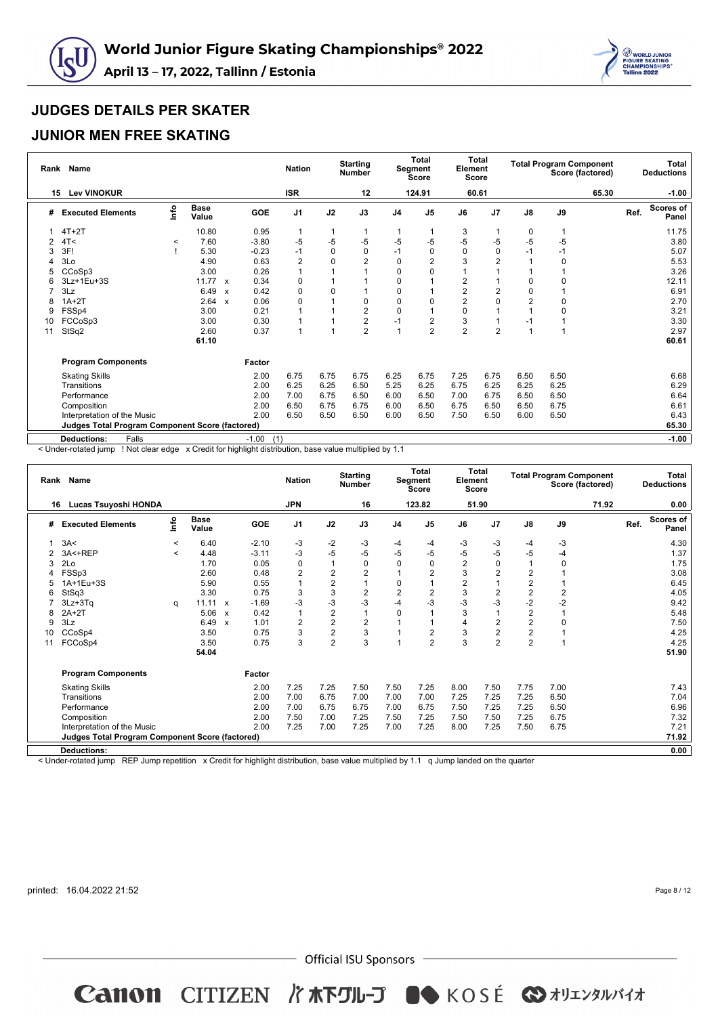



### **JUNIOR MEN FREE SKATING**

| Rank | <b>Name</b>                                            |         |                      |                           |                | <b>Nation</b>  |              | <b>Starting</b><br><b>Number</b> |                | <b>Total</b><br>Segment<br><b>Score</b> | Element        | <b>Total</b><br>Score |                |      | <b>Total Program Component</b><br>Score (factored) |      | Total<br><b>Deductions</b> |
|------|--------------------------------------------------------|---------|----------------------|---------------------------|----------------|----------------|--------------|----------------------------------|----------------|-----------------------------------------|----------------|-----------------------|----------------|------|----------------------------------------------------|------|----------------------------|
| 15   | <b>Lev VINOKUR</b>                                     |         |                      |                           |                | <b>ISR</b>     |              | 12                               |                | 124.91                                  |                | 60.61                 |                |      | 65.30                                              |      | $-1.00$                    |
| #    | <b>Executed Elements</b>                               | ۴o      | <b>Base</b><br>Value |                           | <b>GOE</b>     | J <sub>1</sub> | J2           | J3                               | J <sub>4</sub> | J <sub>5</sub>                          | J6             | J <sub>7</sub>        | $\mathsf{J}8$  | J9   |                                                    | Ref. | Scores of<br>Panel         |
|      | $4T+2T$                                                |         | 10.80                |                           | 0.95           | $\mathbf{1}$   | $\mathbf{1}$ |                                  |                |                                         | 3              |                       | 0              |      |                                                    |      | 11.75                      |
|      | 4T<                                                    | $\,<\,$ | 7.60                 |                           | $-3.80$        | $-5$           | -5           | $-5$                             | $-5$           | -5                                      | $-5$           | -5                    | $-5$           | -5   |                                                    |      | 3.80                       |
|      | 3F!                                                    |         | 5.30                 |                           | $-0.23$        | $-1$           | $\mathbf 0$  | 0                                | $-1$           | $\Omega$                                | $\Omega$       | 0                     | $-1$           | $-1$ |                                                    |      | 5.07                       |
|      | 3Lo                                                    |         | 4.90                 |                           | 0.63           | $\overline{2}$ | $\mathbf 0$  | $\overline{2}$                   | 0              |                                         | 3              | 2                     |                | 0    |                                                    |      | 5.53                       |
|      | CCoSp3                                                 |         | 3.00                 |                           | 0.26           |                |              |                                  | 0              |                                         |                |                       |                |      |                                                    |      | 3.26                       |
|      | 3Lz+1Eu+3S                                             |         | 11.77                | $\boldsymbol{\mathsf{x}}$ | 0.34           | 0              |              |                                  | 0              |                                         | 2              |                       | 0              | 0    |                                                    |      | 12.11                      |
|      | 3Lz                                                    |         | 6.49                 | $\boldsymbol{\mathsf{x}}$ | 0.42           | 0              | $\Omega$     |                                  | 0              |                                         | $\overline{2}$ | 2                     | 0              |      |                                                    |      | 6.91                       |
| 8    | $1A+2T$                                                |         | 2.64                 | $\boldsymbol{\mathsf{x}}$ | 0.06           | 0              |              | $\Omega$                         | $\Omega$       |                                         | $\overline{2}$ | $\Omega$              | $\overline{2}$ | 0    |                                                    |      | 2.70                       |
| 9    | FSSp4                                                  |         | 3.00                 |                           | 0.21           |                |              | $\overline{2}$                   | $\mathbf 0$    |                                         | 0              |                       | $\mathbf{1}$   | 0    |                                                    |      | 3.21                       |
| 10   | FCCoSp3                                                |         | 3.00                 |                           | 0.30           | 1              |              | $\overline{2}$                   | $-1$           | 2                                       | 3              |                       | $-1$           |      |                                                    |      | 3.30                       |
| 11   | StSq2                                                  |         | 2.60                 |                           | 0.37           | 1              |              | $\overline{2}$                   | $\overline{ }$ | $\overline{2}$                          | $\overline{2}$ | $\overline{2}$        | 1              |      |                                                    |      | 2.97                       |
|      |                                                        |         | 61.10                |                           |                |                |              |                                  |                |                                         |                |                       |                |      |                                                    |      | 60.61                      |
|      | <b>Program Components</b>                              |         |                      |                           | Factor         |                |              |                                  |                |                                         |                |                       |                |      |                                                    |      |                            |
|      | <b>Skating Skills</b>                                  |         |                      |                           | 2.00           | 6.75           | 6.75         | 6.75                             | 6.25           | 6.75                                    | 7.25           | 6.75                  | 6.50           | 6.50 |                                                    |      | 6.68                       |
|      | Transitions                                            |         |                      |                           | 2.00           | 6.25           | 6.25         | 6.50                             | 5.25           | 6.25                                    | 6.75           | 6.25                  | 6.25           | 6.25 |                                                    |      | 6.29                       |
|      | Performance                                            |         |                      |                           | 2.00           | 7.00           | 6.75         | 6.50                             | 6.00           | 6.50                                    | 7.00           | 6.75                  | 6.50           | 6.50 |                                                    |      | 6.64                       |
|      | Composition                                            |         |                      |                           | 2.00           | 6.50           | 6.75         | 6.75                             | 6.00           | 6.50                                    | 6.75           | 6.50                  | 6.50           | 6.75 |                                                    |      | 6.61                       |
|      | Interpretation of the Music                            |         |                      |                           | 2.00           | 6.50           | 6.50         | 6.50                             | 6.00           | 6.50                                    | 7.50           | 6.50                  | 6.00           | 6.50 |                                                    |      | 6.43                       |
|      | <b>Judges Total Program Component Score (factored)</b> |         |                      |                           |                |                |              |                                  |                |                                         |                |                       |                |      |                                                    |      | 65.30                      |
|      | Falls<br><b>Deductions:</b>                            |         |                      |                           | (1)<br>$-1.00$ |                |              |                                  |                |                                         |                |                       |                |      |                                                    |      | $-1.00$                    |

< Under-rotated jump ! Not clear edge x Credit for highlight distribution, base value multiplied by 1.1

| Rank | <b>Name</b>                                     |         |                      |                           |            | <b>Nation</b>  |                | <b>Starting</b><br><b>Number</b> |                | Total<br>Segment<br>Score | Element        | Total<br><b>Score</b> |                | <b>Total Program Component</b> | Score (factored) |      | <b>Total</b><br><b>Deductions</b> |
|------|-------------------------------------------------|---------|----------------------|---------------------------|------------|----------------|----------------|----------------------------------|----------------|---------------------------|----------------|-----------------------|----------------|--------------------------------|------------------|------|-----------------------------------|
| 16   | <b>Lucas Tsuyoshi HONDA</b>                     |         |                      |                           |            | <b>JPN</b>     |                | 16                               |                | 123.82                    |                | 51.90                 |                |                                | 71.92            |      | 0.00                              |
| #    | <b>Executed Elements</b>                        | lnfo    | <b>Base</b><br>Value |                           | <b>GOE</b> | J <sub>1</sub> | J2             | J3                               | J <sub>4</sub> | J <sub>5</sub>            | J6             | J <sub>7</sub>        | $\mathsf{J}8$  | J9                             |                  | Ref. | <b>Scores of</b><br>Panel         |
|      | 3A<                                             | $\prec$ | 6.40                 |                           | $-2.10$    | -3             | $-2$           | -3                               | -4             | -4                        | -3             | -3                    | $-4$           | -3                             |                  |      | 4.30                              |
|      | 3A<+REP                                         | $\,<\,$ | 4.48                 |                           | $-3.11$    | $-3$           | $-5$           | -5                               | -5             | -5                        | -5             | $-5$                  | $-5$           | $-4$                           |                  |      | 1.37                              |
| 3    | 2Lo                                             |         | 1.70                 |                           | 0.05       | 0              | $\overline{1}$ | $\Omega$                         | $\Omega$       | $\Omega$                  | $\overline{2}$ | 0                     | 1              | 0                              |                  |      | 1.75                              |
| 4    | FSSp3                                           |         | 2.60                 |                           | 0.48       | 2              | $\overline{2}$ | $\overline{2}$                   |                | $\overline{2}$            | 3              | $\overline{2}$        | $\overline{2}$ |                                |                  |      | 3.08                              |
|      | 1A+1Eu+3S                                       |         | 5.90                 |                           | 0.55       | $\overline{1}$ | $\overline{2}$ | 1                                | 0              |                           | $\overline{2}$ | 1                     | $\overline{2}$ | 1                              |                  |      | 6.45                              |
| 6    | StSq3                                           |         | 3.30                 |                           | 0.75       | 3              | 3              | $\overline{2}$                   | $\overline{2}$ | $\overline{2}$            | 3              | $\overline{2}$        | $\overline{c}$ | $\overline{2}$                 |                  |      | 4.05                              |
|      | $3Lz + 3Tq$                                     | q       | $11.11 \times$       |                           | $-1.69$    | $-3$           | $-3$           | $-3$                             | $-4$           | $-3$                      | $-3$           | $-3$                  | $-2$           | $-2$                           |                  |      | 9.42                              |
| 8    | $2A+2T$                                         |         | 5.06                 | $\boldsymbol{\mathsf{x}}$ | 0.42       | $\overline{1}$ | $\overline{2}$ |                                  | $\Omega$       |                           | 3              | 1                     | $\overline{2}$ | 1                              |                  |      | 5.48                              |
| 9    | 3Lz                                             |         | 6.49                 | $\boldsymbol{\mathsf{x}}$ | 1.01       | $\overline{2}$ | $\overline{2}$ | $\overline{2}$                   |                |                           | 4              | $\overline{2}$        | $\overline{2}$ | $\mathbf 0$                    |                  |      | 7.50                              |
| 10   | CCoSp4                                          |         | 3.50                 |                           | 0.75       | 3              | $\overline{2}$ | 3                                |                | $\overline{2}$            | 3              | $\overline{c}$        | $\overline{2}$ |                                |                  |      | 4.25                              |
| 11   | FCCoSp4                                         |         | 3.50                 |                           | 0.75       | 3              | $\overline{2}$ | 3                                |                | $\overline{2}$            | 3              | $\overline{2}$        | $\overline{2}$ | 1                              |                  |      | 4.25                              |
|      |                                                 |         | 54.04                |                           |            |                |                |                                  |                |                           |                |                       |                |                                |                  |      | 51.90                             |
|      | <b>Program Components</b>                       |         |                      |                           | Factor     |                |                |                                  |                |                           |                |                       |                |                                |                  |      |                                   |
|      | <b>Skating Skills</b>                           |         |                      |                           | 2.00       | 7.25           | 7.25           | 7.50                             | 7.50           | 7.25                      | 8.00           | 7.50                  | 7.75           | 7.00                           |                  |      | 7.43                              |
|      | Transitions                                     |         |                      |                           | 2.00       | 7.00           | 6.75           | 7.00                             | 7.00           | 7.00                      | 7.25           | 7.25                  | 7.25           | 6.50                           |                  |      | 7.04                              |
|      | Performance                                     |         |                      |                           | 2.00       | 7.00           | 6.75           | 6.75                             | 7.00           | 6.75                      | 7.50           | 7.25                  | 7.25           | 6.50                           |                  |      | 6.96                              |
|      | Composition                                     |         |                      |                           | 2.00       | 7.50           | 7.00           | 7.25                             | 7.50           | 7.25                      | 7.50           | 7.50                  | 7.25           | 6.75                           |                  |      | 7.32                              |
|      | Interpretation of the Music                     |         |                      |                           | 2.00       | 7.25           | 7.00           | 7.25                             | 7.00           | 7.25                      | 8.00           | 7.25                  | 7.50           | 6.75                           |                  |      | 7.21                              |
|      | Judges Total Program Component Score (factored) |         |                      |                           |            |                |                |                                  |                |                           |                |                       |                |                                |                  |      | 71.92                             |
|      | <b>Deductions:</b>                              |         |                      |                           |            |                |                |                                  |                |                           |                |                       |                |                                |                  |      | 0.00                              |
|      |                                                 |         |                      |                           |            |                |                |                                  |                |                           |                |                       |                |                                |                  |      |                                   |

< Under-rotated jump REP Jump repetition x Credit for highlight distribution, base value multiplied by 1.1 q Jump landed on the quarter

printed: 16.04.2022 21:52

Page 8 / 12

 $-$  Official ISU Sponsors  $-$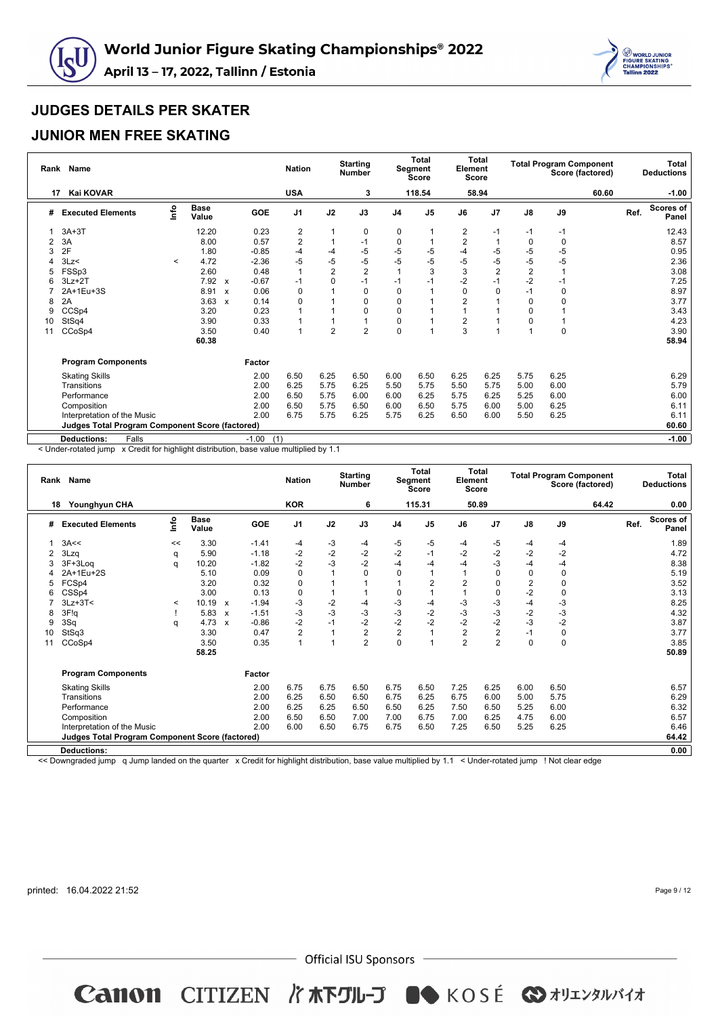



### **JUNIOR MEN FREE SKATING**

| Rank | <b>Name</b>                                            |              |                      |                           |                | <b>Nation</b>  |                | <b>Starting</b><br><b>Number</b> |                | Total<br>Segment<br>Score | Element<br>Score | <b>Total</b>   |                |             | <b>Total Program Component</b><br>Score (factored) |      | <b>Total</b><br><b>Deductions</b> |
|------|--------------------------------------------------------|--------------|----------------------|---------------------------|----------------|----------------|----------------|----------------------------------|----------------|---------------------------|------------------|----------------|----------------|-------------|----------------------------------------------------|------|-----------------------------------|
| 17   | Kai KOVAR                                              |              |                      |                           |                | <b>USA</b>     |                | 3                                |                | 118.54                    |                  | 58.94          |                |             | 60.60                                              |      | $-1.00$                           |
| #    | <b>Executed Elements</b>                               | lnfo         | <b>Base</b><br>Value |                           | GOE            | J <sub>1</sub> | J2             | J3                               | J <sub>4</sub> | J <sub>5</sub>            | J6               | J7             | $\mathsf{J}8$  | J9          |                                                    | Ref. | <b>Scores of</b><br>Panel         |
|      | $3A+3T$                                                |              | 12.20                |                           | 0.23           | 2              |                | $\mathbf 0$                      | 0              |                           | $\overline{2}$   | $-1$           | $-1$           | $-1$        |                                                    |      | 12.43                             |
| 2    | 3A                                                     |              | 8.00                 |                           | 0.57           | $\overline{2}$ |                | $-1$                             | 0              |                           | $\overline{2}$   | 1              | 0              | 0           |                                                    |      | 8.57                              |
| 3    | 2F                                                     |              | 1.80                 |                           | $-0.85$        | $-4$           | $-4$           | $-5$                             | -5             | -5                        | $-4$             | -5             | $-5$           | $-5$        |                                                    |      | 0.95                              |
|      | 3Lz                                                    | $\checkmark$ | 4.72                 |                           | $-2.36$        | -5             | $-5$           | $-5$                             | $-5$           | $-5$                      | $-5$             | -5             | $-5$           | $-5$        |                                                    |      | 2.36                              |
|      | FSSp3                                                  |              | 2.60                 |                           | 0.48           | $\overline{1}$ | $\overline{2}$ | $\overline{2}$                   |                | 3                         | 3                | $\overline{2}$ | $\overline{2}$ |             |                                                    |      | 3.08                              |
|      | $3Lz + 2T$                                             |              | 7.92                 | $\boldsymbol{\mathsf{x}}$ | $-0.67$        | $-1$           | $\mathbf 0$    | $-1$                             | $-1$           | -1                        | $-2$             | $-1$           | $-2$           | -1          |                                                    |      | 7.25                              |
|      | 2A+1Eu+3S                                              |              | 8.91                 | $\boldsymbol{\mathsf{x}}$ | 0.06           | 0              |                | 0                                | 0              |                           | $\Omega$         | 0              | $-1$           | $\mathbf 0$ |                                                    |      | 8.97                              |
| 8    | 2A                                                     |              | 3.63                 | $\boldsymbol{\mathsf{x}}$ | 0.14           | 0              |                | $\Omega$                         | $\Omega$       |                           | $\overline{2}$   |                | 0              | $\Omega$    |                                                    |      | 3.77                              |
| 9    | CCSp4                                                  |              | 3.20                 |                           | 0.23           |                |                | $\Omega$                         | 0              |                           |                  |                | 0              |             |                                                    |      | 3.43                              |
| 10   | StSq4                                                  |              | 3.90                 |                           | 0.33           |                |                |                                  | 0              |                           | $\overline{2}$   |                | 0              |             |                                                    |      | 4.23                              |
| 11   | CCoSp4                                                 |              | 3.50                 |                           | 0.40           | 1              | $\overline{2}$ | $\overline{2}$                   | 0              |                           | 3                | 1              | и              | $\mathbf 0$ |                                                    |      | 3.90                              |
|      |                                                        |              | 60.38                |                           |                |                |                |                                  |                |                           |                  |                |                |             |                                                    |      | 58.94                             |
|      | <b>Program Components</b>                              |              |                      |                           | Factor         |                |                |                                  |                |                           |                  |                |                |             |                                                    |      |                                   |
|      | <b>Skating Skills</b>                                  |              |                      |                           | 2.00           | 6.50           | 6.25           | 6.50                             | 6.00           | 6.50                      | 6.25             | 6.25           | 5.75           | 6.25        |                                                    |      | 6.29                              |
|      | Transitions                                            |              |                      |                           | 2.00           | 6.25           | 5.75           | 6.25                             | 5.50           | 5.75                      | 5.50             | 5.75           | 5.00           | 6.00        |                                                    |      | 5.79                              |
|      | Performance                                            |              |                      |                           | 2.00           | 6.50           | 5.75           | 6.00                             | 6.00           | 6.25                      | 5.75             | 6.25           | 5.25           | 6.00        |                                                    |      | 6.00                              |
|      | Composition                                            |              |                      |                           | 2.00           | 6.50           | 5.75           | 6.50                             | 6.00           | 6.50                      | 5.75             | 6.00           | 5.00           | 6.25        |                                                    |      | 6.11                              |
|      | Interpretation of the Music                            |              |                      |                           | 2.00           | 6.75           | 5.75           | 6.25                             | 5.75           | 6.25                      | 6.50             | 6.00           | 5.50           | 6.25        |                                                    |      | 6.11                              |
|      | <b>Judges Total Program Component Score (factored)</b> |              |                      |                           |                |                |                |                                  |                |                           |                  |                |                |             |                                                    |      | 60.60                             |
|      | Falls<br><b>Deductions:</b>                            |              |                      |                           | $-1.00$<br>(1) |                |                |                                  |                |                           |                  |                |                |             |                                                    |      | $-1.00$                           |

< Under-rotated jump x Credit for highlight distribution, base value multiplied by 1.1

| Rank | <b>Name</b>                                                                                                                                                                                                                |      |                      |              |         | <b>Nation</b>  |      | <b>Starting</b><br><b>Number</b> |                | <b>Total</b><br>Segment<br><b>Score</b> | Element        | <b>Total</b><br>Score |               | <b>Total Program Component</b> | Score (factored) |      | Total<br><b>Deductions</b> |
|------|----------------------------------------------------------------------------------------------------------------------------------------------------------------------------------------------------------------------------|------|----------------------|--------------|---------|----------------|------|----------------------------------|----------------|-----------------------------------------|----------------|-----------------------|---------------|--------------------------------|------------------|------|----------------------------|
| 18   | Younghyun CHA                                                                                                                                                                                                              |      |                      |              |         | <b>KOR</b>     |      | 6                                |                | 115.31                                  |                | 50.89                 |               |                                | 64.42            |      | 0.00                       |
| #    | <b>Executed Elements</b>                                                                                                                                                                                                   | Info | <b>Base</b><br>Value |              | GOE     | J <sub>1</sub> | J2   | J3                               | J <sub>4</sub> | J <sub>5</sub>                          | J6             | J7                    | $\mathsf{J}8$ | J9                             |                  | Ref. | <b>Scores of</b><br>Panel  |
|      | 3A<<                                                                                                                                                                                                                       | <<   | 3.30                 |              | $-1.41$ | -4             | -3   | -4                               | -5             | -5                                      | -4             | -5                    | -4            | -4                             |                  |      | 1.89                       |
|      | 3Lzq                                                                                                                                                                                                                       | q    | 5.90                 |              | $-1.18$ | $-2$           | $-2$ | $-2$                             | $-2$           | $-1$                                    | $-2$           | $-2$                  | $-2$          | $-2$                           |                  |      | 4.72                       |
| 3    | 3F+3Log                                                                                                                                                                                                                    | q    | 10.20                |              | $-1.82$ | $-2$           | $-3$ | $-2$                             | -4             | $-4$                                    | -4             | $-3$                  | $-4$          | $-4$                           |                  |      | 8.38                       |
|      | $\Omega$<br>$\mathbf 0$<br>0<br>2A+1Eu+2S<br>0.09<br>$\Omega$<br>$\overline{1}$<br>$\Omega$<br>5.10<br>$\Omega$<br>5.19<br>$\overline{2}$<br>$\overline{2}$<br>3.20<br>0.32<br>0<br>3.52<br>FCSp4<br>2<br>0<br>0<br>1<br>5 |      |                      |              |         |                |      |                                  |                |                                         |                |                       |               |                                |                  |      |                            |
|      | $-2$<br>0<br>3.00<br>0.13<br>3.13<br>CSSp4<br>0<br>0<br>1<br>0<br>6                                                                                                                                                        |      |                      |              |         |                |      |                                  |                |                                         |                |                       |               |                                |                  |      |                            |
|      | $-2$<br>$-3$<br>-3<br>$-3$<br>$-3$<br>-3<br>$-4$<br>8.25<br>$3Lz + 3T <$<br>10.19<br>$-1.94$<br>$-4$<br>-4<br>$\mathsf{x}$<br>$\,<\,$                                                                                      |      |                      |              |         |                |      |                                  |                |                                         |                |                       |               |                                |                  |      |                            |
|      |                                                                                                                                                                                                                            |      |                      |              |         |                |      |                                  |                |                                         |                |                       |               |                                |                  |      |                            |
| 8    | $-3$<br>$-3$<br>$-3$<br>$-2$<br>$-3$<br>$-3$<br>$-3$<br>$-3$<br>$-2$<br>4.32<br>3F!q<br>5.83<br>$-1.51$<br>$\mathsf{x}$                                                                                                    |      |                      |              |         |                |      |                                  |                |                                         |                |                       |               |                                |                  |      |                            |
| 9    | 3Sq                                                                                                                                                                                                                        | q    | 4.73                 | $\mathsf{x}$ | $-0.86$ | $-2$           | $-1$ | $-2$                             | $-2$           | $-2$                                    | $-2$           | $-2$                  | $-3$          | $-2$                           |                  |      | 3.87                       |
| 10   | StSq3                                                                                                                                                                                                                      |      | 3.30                 |              | 0.47    | $\overline{2}$ | 1    | $\overline{2}$                   | $\overline{2}$ |                                         | $\overline{2}$ | $\overline{2}$        | $-1$          | 0                              |                  |      | 3.77                       |
| 11   | CCoSp4                                                                                                                                                                                                                     |      | 3.50                 |              | 0.35    | 1              | и    | $\overline{2}$                   | $\mathbf 0$    |                                         | $\overline{2}$ | $\overline{2}$        | $\mathbf 0$   | $\pmb{0}$                      |                  |      | 3.85                       |
|      |                                                                                                                                                                                                                            |      | 58.25                |              |         |                |      |                                  |                |                                         |                |                       |               |                                |                  |      | 50.89                      |
|      | <b>Program Components</b>                                                                                                                                                                                                  |      |                      |              | Factor  |                |      |                                  |                |                                         |                |                       |               |                                |                  |      |                            |
|      | <b>Skating Skills</b>                                                                                                                                                                                                      |      |                      |              | 2.00    | 6.75           | 6.75 | 6.50                             | 6.75           | 6.50                                    | 7.25           | 6.25                  | 6.00          | 6.50                           |                  |      | 6.57                       |
|      | Transitions                                                                                                                                                                                                                |      |                      |              | 2.00    | 6.25           | 6.50 | 6.50                             | 6.75           | 6.25                                    | 6.75           | 6.00                  | 5.00          | 5.75                           |                  |      | 6.29                       |
|      | Performance                                                                                                                                                                                                                |      |                      |              | 2.00    | 6.25           | 6.25 | 6.50                             | 6.50           | 6.25                                    | 7.50           | 6.50                  | 5.25          | 6.00                           |                  |      | 6.32                       |
|      | Composition                                                                                                                                                                                                                |      |                      |              | 2.00    | 6.50           | 6.50 | 7.00                             | 7.00           | 6.75                                    | 7.00           | 6.25                  | 4.75          | 6.00                           |                  |      | 6.57                       |
|      | Interpretation of the Music                                                                                                                                                                                                |      |                      |              | 2.00    | 6.00           | 6.50 | 6.75                             | 6.75           | 6.50                                    | 7.25           | 6.50                  | 5.25          | 6.25                           |                  |      | 6.46                       |
|      | <b>Judges Total Program Component Score (factored)</b>                                                                                                                                                                     |      |                      |              |         |                |      |                                  |                |                                         |                |                       |               |                                |                  |      | 64.42                      |
|      | <b>Deductions:</b>                                                                                                                                                                                                         |      |                      |              |         |                |      |                                  |                |                                         |                |                       |               |                                |                  |      | 0.00                       |
|      |                                                                                                                                                                                                                            |      |                      |              |         |                |      |                                  |                |                                         |                |                       |               |                                |                  |      |                            |

<< Downgraded jump q Jump landed on the quarter x Credit for highlight distribution, base value multiplied by 1.1 < Under-rotated jump ! Not clear edge

printed: 16.04.2022 21:52

Page 9 / 12

 $-$  Official ISU Sponsors  $-$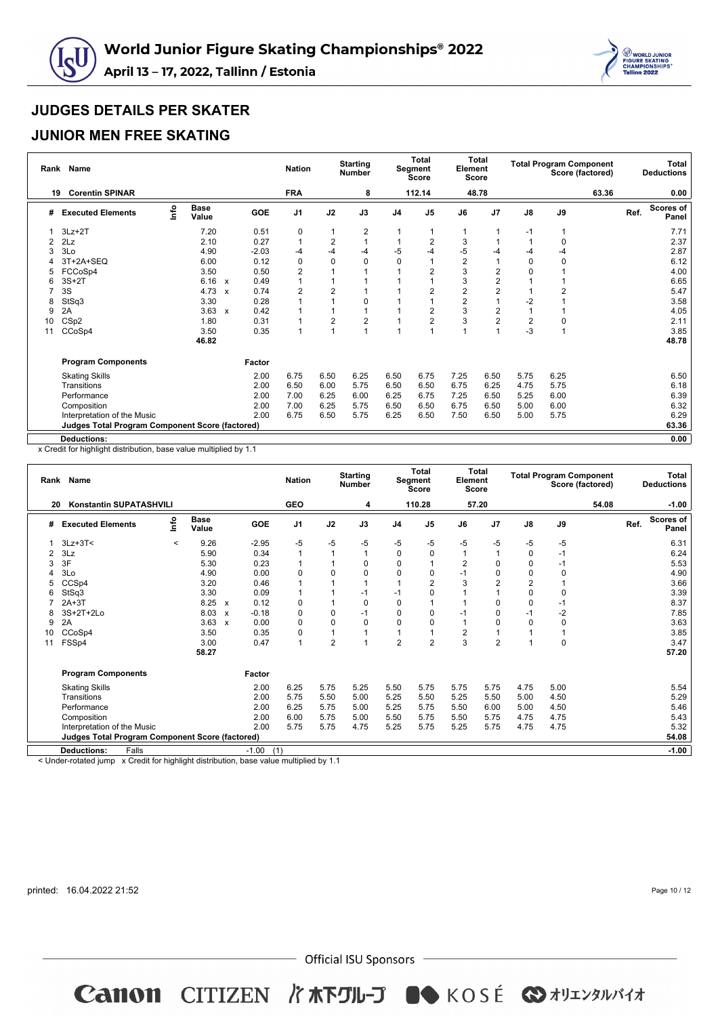



### **JUNIOR MEN FREE SKATING**

| Rank | <b>Name</b>                                     |      |                      |                           |            | <b>Nation</b>  |                | <b>Starting</b><br><b>Number</b> |                | <b>Total</b><br>Segment<br>Score | Element        | Total<br><b>Score</b>   |                         |                | <b>Total Program Component</b><br>Score (factored) |      | <b>Total</b><br><b>Deductions</b> |
|------|-------------------------------------------------|------|----------------------|---------------------------|------------|----------------|----------------|----------------------------------|----------------|----------------------------------|----------------|-------------------------|-------------------------|----------------|----------------------------------------------------|------|-----------------------------------|
| 19   | <b>Corentin SPINAR</b>                          |      |                      |                           |            | <b>FRA</b>     |                | 8                                |                | 112.14                           |                | 48.78                   |                         |                | 63.36                                              |      | 0.00                              |
| #    | <b>Executed Elements</b>                        | lnfo | <b>Base</b><br>Value |                           | <b>GOE</b> | J <sub>1</sub> | J2             | J3                               | J <sub>4</sub> | J <sub>5</sub>                   | J6             | J7                      | $\mathsf{J}8$           | J9             |                                                    | Ref. | <b>Scores of</b><br>Panel         |
|      | $3Lz + 2T$                                      |      | 7.20                 |                           | 0.51       | 0              |                | 2                                |                |                                  |                |                         | $-1$                    |                |                                                    |      | 7.71                              |
| 2    | 2Lz                                             |      | 2.10                 |                           | 0.27       | $\overline{1}$ | $\overline{2}$ |                                  |                | 2                                | 3              |                         |                         | $\Omega$       |                                                    |      | 2.37                              |
|      | 3Lo                                             |      | 4.90                 |                           | $-2.03$    | $-4$           | $-4$           | -4                               | -5             | -4                               | -5             | -4                      | $-4$                    | $-4$           |                                                    |      | 2.87                              |
|      | 3T+2A+SEQ                                       |      | 6.00                 |                           | 0.12       | 0              | 0              | 0                                | 0              |                                  | $\overline{2}$ | -1                      | 0                       | $\mathbf 0$    |                                                    |      | 6.12                              |
|      | FCCoSp4                                         |      | 3.50                 |                           | 0.50       | $\overline{c}$ |                |                                  |                |                                  | 3              | 2                       | 0                       |                |                                                    |      | 4.00                              |
|      | $3S+2T$                                         |      | 6.16                 | $\boldsymbol{\mathsf{x}}$ | 0.49       |                |                |                                  |                |                                  | 3              | $\overline{c}$          |                         |                |                                                    |      | 6.65                              |
|      | 3S                                              |      | 4.73                 | $\boldsymbol{\mathsf{x}}$ | 0.74       | $\overline{2}$ | $\overline{2}$ |                                  |                | 2                                | $\overline{2}$ | $\overline{2}$          |                         | $\overline{2}$ |                                                    |      | 5.47                              |
| 8    | StSq3                                           |      | 3.30                 |                           | 0.28       |                |                | O                                |                |                                  | $\overline{2}$ | $\overline{1}$          | $-2$                    |                |                                                    |      | 3.58                              |
| 9    | 2A                                              |      | 3.63                 | $\boldsymbol{\mathsf{x}}$ | 0.42       |                |                |                                  |                | 2                                | 3              | $\overline{\mathbf{c}}$ |                         |                |                                                    |      | 4.05                              |
| 10   | CS <sub>p2</sub>                                |      | 1.80                 |                           | 0.31       |                | $\overline{2}$ | $\overline{\mathbf{c}}$          |                | 2                                | 3              | $\overline{2}$          | $\overline{\mathbf{c}}$ | 0              |                                                    |      | 2.11                              |
| 11   | CCoSp4                                          |      | 3.50                 |                           | 0.35       | 1              | $\overline{1}$ |                                  |                |                                  |                | $\overline{1}$          | $-3$                    | $\mathbf{1}$   |                                                    |      | 3.85                              |
|      |                                                 |      | 46.82                |                           |            |                |                |                                  |                |                                  |                |                         |                         |                |                                                    |      | 48.78                             |
|      | <b>Program Components</b>                       |      |                      |                           | Factor     |                |                |                                  |                |                                  |                |                         |                         |                |                                                    |      |                                   |
|      | <b>Skating Skills</b>                           |      |                      |                           | 2.00       | 6.75           | 6.50           | 6.25                             | 6.50           | 6.75                             | 7.25           | 6.50                    | 5.75                    | 6.25           |                                                    |      | 6.50                              |
|      | Transitions                                     |      |                      |                           | 2.00       | 6.50           | 6.00           | 5.75                             | 6.50           | 6.50                             | 6.75           | 6.25                    | 4.75                    | 5.75           |                                                    |      | 6.18                              |
|      | Performance                                     |      |                      |                           | 2.00       | 7.00           | 6.25           | 6.00                             | 6.25           | 6.75                             | 7.25           | 6.50                    | 5.25                    | 6.00           |                                                    |      | 6.39                              |
|      | Composition                                     |      |                      |                           | 2.00       | 7.00           | 6.25           | 5.75                             | 6.50           | 6.50                             | 6.75           | 6.50                    | 5.00                    | 6.00           |                                                    |      | 6.32                              |
|      | Interpretation of the Music                     |      |                      |                           | 2.00       | 6.75           | 6.50           | 5.75                             | 6.25           | 6.50                             | 7.50           | 6.50                    | 5.00                    | 5.75           |                                                    |      | 6.29                              |
|      | Judges Total Program Component Score (factored) |      |                      |                           |            |                |                |                                  |                |                                  |                |                         |                         |                |                                                    |      | 63.36                             |
|      | <b>Deductions:</b>                              |      |                      |                           |            |                |                |                                  |                |                                  |                |                         |                         |                |                                                    |      | 0.00                              |

x Credit for highlight distribution, base value multiplied by 1.1

| 110.28<br>57.20<br><b>Konstantin SUPATASHVILI</b><br><b>GEO</b><br>54.08<br>20<br>4<br><u>nfo</u><br><b>Base</b><br>J <sub>1</sub><br><b>GOE</b><br>J2<br>J3<br>J <sub>7</sub><br>$\mathsf{J}8$<br>J9<br>Ref.<br><b>Executed Elements</b><br>J <sub>4</sub><br>J <sub>5</sub><br>J6<br>#<br>Value<br>$-5$<br>$3Lz + 3T <$<br>9.26<br>$-2.95$<br>-5<br>$-5$<br>-5<br>-5<br>-5<br>$-5$<br>-5<br>-5<br>$\,<\,$<br>0.34<br>1<br>3Lz<br>5.90<br>$\overline{1}$<br>$\mathbf 0$<br>0<br>1<br>$-1$<br>2<br>$\Omega$<br>3F<br>$\overline{2}$<br>$\mathbf 0$<br>0.23<br>$\Omega$<br>$\mathbf 0$<br>5.30<br>1<br>$\Omega$<br>$-1$<br>3<br>3Lo<br>4.90<br>0.00<br>0<br>$\Omega$<br>0<br>$\mathbf 0$<br>$\Omega$<br>0<br>$-1$<br>$\Omega$<br>$\Omega$<br>$\overline{2}$<br>0.46<br>3<br>$\overline{2}$<br>CCSp4<br>3.20<br>$\overline{2}$<br>1<br>5<br>3.30<br>0.09<br>$\Omega$<br>0<br>StSq3<br>$-1$<br>1<br>$-1$<br>1<br>6<br>8.25<br>0.12<br>0<br>$-1$<br>$2A+3T$<br>0<br>0<br>$\mathbf 0$<br>0<br>$\mathsf{x}$<br>$-2$<br>3S+2T+2Lo<br>$-0.18$<br>0<br>$\mathbf 0$<br>$\mathbf 0$<br>$-1$<br>8.03<br>0<br>$-1$<br>$\Omega$<br>$-1$<br>8<br>$\mathsf{x}$<br>$\mathbf 0$<br>2A<br>3.63<br>0.00<br>0<br>$\Omega$<br>$\mathbf 0$<br>0<br>0<br>$\Omega$<br>9<br>O<br>$\mathsf{x}$<br>$\overline{2}$<br>0.35<br>CCoSp4<br>3.50<br>0<br>1<br>1<br>1<br>10<br>$\overline{2}$<br>$\overline{2}$<br>3<br>$\overline{2}$<br>$\mathbf 0$<br>0.47<br>$\overline{2}$<br>FSSp4<br>3.00<br>1<br>3.47<br>11<br>58.27<br>57.20<br><b>Program Components</b><br>Factor<br>5.50<br>2.00<br>6.25<br>5.75<br>5.75<br>5.75<br>5.75<br>4.75<br>5.00<br>5.25<br><b>Skating Skills</b><br>5.25<br>2.00<br>5.75<br>5.50<br>5.00<br>5.25<br>5.50<br>5.50<br>5.00<br>4.50<br>Transitions<br>2.00<br>6.25<br>5.50<br>6.00<br>5.75<br>5.00<br>5.25<br>5.75<br>5.00<br>4.50<br>Performance<br>2.00<br>6.00<br>5.75<br>5.75<br>5.50<br>5.75<br>4.75<br>4.75<br>Composition<br>5.00<br>5.50<br>5.25<br>2.00<br>5.75<br>5.75<br>5.25<br>5.75<br>5.75<br>4.75<br>4.75<br>4.75<br>Interpretation of the Music | Rank | Name |  |  | <b>Nation</b> | <b>Starting</b><br><b>Number</b> | <b>Total</b><br>Segment<br><b>Score</b> | Element<br><b>Score</b> | <b>Total</b> | <b>Total Program Component</b> | Score (factored) | <b>Total</b><br><b>Deductions</b> |
|-----------------------------------------------------------------------------------------------------------------------------------------------------------------------------------------------------------------------------------------------------------------------------------------------------------------------------------------------------------------------------------------------------------------------------------------------------------------------------------------------------------------------------------------------------------------------------------------------------------------------------------------------------------------------------------------------------------------------------------------------------------------------------------------------------------------------------------------------------------------------------------------------------------------------------------------------------------------------------------------------------------------------------------------------------------------------------------------------------------------------------------------------------------------------------------------------------------------------------------------------------------------------------------------------------------------------------------------------------------------------------------------------------------------------------------------------------------------------------------------------------------------------------------------------------------------------------------------------------------------------------------------------------------------------------------------------------------------------------------------------------------------------------------------------------------------------------------------------------------------------------------------------------------------------------------------------------------------------------------------------------------------------------------------------------------------|------|------|--|--|---------------|----------------------------------|-----------------------------------------|-------------------------|--------------|--------------------------------|------------------|-----------------------------------|
|                                                                                                                                                                                                                                                                                                                                                                                                                                                                                                                                                                                                                                                                                                                                                                                                                                                                                                                                                                                                                                                                                                                                                                                                                                                                                                                                                                                                                                                                                                                                                                                                                                                                                                                                                                                                                                                                                                                                                                                                                                                                 |      |      |  |  |               |                                  |                                         |                         |              |                                |                  | $-1.00$                           |
|                                                                                                                                                                                                                                                                                                                                                                                                                                                                                                                                                                                                                                                                                                                                                                                                                                                                                                                                                                                                                                                                                                                                                                                                                                                                                                                                                                                                                                                                                                                                                                                                                                                                                                                                                                                                                                                                                                                                                                                                                                                                 |      |      |  |  |               |                                  |                                         |                         |              |                                |                  | <b>Scores of</b><br>Panel         |
|                                                                                                                                                                                                                                                                                                                                                                                                                                                                                                                                                                                                                                                                                                                                                                                                                                                                                                                                                                                                                                                                                                                                                                                                                                                                                                                                                                                                                                                                                                                                                                                                                                                                                                                                                                                                                                                                                                                                                                                                                                                                 |      |      |  |  |               |                                  |                                         |                         |              |                                |                  | 6.31                              |
|                                                                                                                                                                                                                                                                                                                                                                                                                                                                                                                                                                                                                                                                                                                                                                                                                                                                                                                                                                                                                                                                                                                                                                                                                                                                                                                                                                                                                                                                                                                                                                                                                                                                                                                                                                                                                                                                                                                                                                                                                                                                 |      |      |  |  |               |                                  |                                         |                         |              |                                |                  | 6.24                              |
|                                                                                                                                                                                                                                                                                                                                                                                                                                                                                                                                                                                                                                                                                                                                                                                                                                                                                                                                                                                                                                                                                                                                                                                                                                                                                                                                                                                                                                                                                                                                                                                                                                                                                                                                                                                                                                                                                                                                                                                                                                                                 |      |      |  |  |               |                                  |                                         |                         |              |                                |                  | 5.53                              |
|                                                                                                                                                                                                                                                                                                                                                                                                                                                                                                                                                                                                                                                                                                                                                                                                                                                                                                                                                                                                                                                                                                                                                                                                                                                                                                                                                                                                                                                                                                                                                                                                                                                                                                                                                                                                                                                                                                                                                                                                                                                                 |      |      |  |  |               |                                  |                                         |                         |              |                                |                  | 4.90                              |
|                                                                                                                                                                                                                                                                                                                                                                                                                                                                                                                                                                                                                                                                                                                                                                                                                                                                                                                                                                                                                                                                                                                                                                                                                                                                                                                                                                                                                                                                                                                                                                                                                                                                                                                                                                                                                                                                                                                                                                                                                                                                 |      |      |  |  |               |                                  |                                         |                         |              |                                |                  | 3.66                              |
|                                                                                                                                                                                                                                                                                                                                                                                                                                                                                                                                                                                                                                                                                                                                                                                                                                                                                                                                                                                                                                                                                                                                                                                                                                                                                                                                                                                                                                                                                                                                                                                                                                                                                                                                                                                                                                                                                                                                                                                                                                                                 |      |      |  |  |               |                                  |                                         |                         |              |                                |                  | 3.39                              |
|                                                                                                                                                                                                                                                                                                                                                                                                                                                                                                                                                                                                                                                                                                                                                                                                                                                                                                                                                                                                                                                                                                                                                                                                                                                                                                                                                                                                                                                                                                                                                                                                                                                                                                                                                                                                                                                                                                                                                                                                                                                                 |      |      |  |  |               |                                  |                                         |                         |              |                                |                  | 8.37                              |
|                                                                                                                                                                                                                                                                                                                                                                                                                                                                                                                                                                                                                                                                                                                                                                                                                                                                                                                                                                                                                                                                                                                                                                                                                                                                                                                                                                                                                                                                                                                                                                                                                                                                                                                                                                                                                                                                                                                                                                                                                                                                 |      |      |  |  |               |                                  |                                         |                         |              |                                |                  | 7.85                              |
|                                                                                                                                                                                                                                                                                                                                                                                                                                                                                                                                                                                                                                                                                                                                                                                                                                                                                                                                                                                                                                                                                                                                                                                                                                                                                                                                                                                                                                                                                                                                                                                                                                                                                                                                                                                                                                                                                                                                                                                                                                                                 |      |      |  |  |               |                                  |                                         |                         |              |                                |                  | 3.63                              |
|                                                                                                                                                                                                                                                                                                                                                                                                                                                                                                                                                                                                                                                                                                                                                                                                                                                                                                                                                                                                                                                                                                                                                                                                                                                                                                                                                                                                                                                                                                                                                                                                                                                                                                                                                                                                                                                                                                                                                                                                                                                                 |      |      |  |  |               |                                  |                                         |                         |              |                                |                  | 3.85                              |
|                                                                                                                                                                                                                                                                                                                                                                                                                                                                                                                                                                                                                                                                                                                                                                                                                                                                                                                                                                                                                                                                                                                                                                                                                                                                                                                                                                                                                                                                                                                                                                                                                                                                                                                                                                                                                                                                                                                                                                                                                                                                 |      |      |  |  |               |                                  |                                         |                         |              |                                |                  |                                   |
|                                                                                                                                                                                                                                                                                                                                                                                                                                                                                                                                                                                                                                                                                                                                                                                                                                                                                                                                                                                                                                                                                                                                                                                                                                                                                                                                                                                                                                                                                                                                                                                                                                                                                                                                                                                                                                                                                                                                                                                                                                                                 |      |      |  |  |               |                                  |                                         |                         |              |                                |                  |                                   |
|                                                                                                                                                                                                                                                                                                                                                                                                                                                                                                                                                                                                                                                                                                                                                                                                                                                                                                                                                                                                                                                                                                                                                                                                                                                                                                                                                                                                                                                                                                                                                                                                                                                                                                                                                                                                                                                                                                                                                                                                                                                                 |      |      |  |  |               |                                  |                                         |                         |              |                                |                  |                                   |
|                                                                                                                                                                                                                                                                                                                                                                                                                                                                                                                                                                                                                                                                                                                                                                                                                                                                                                                                                                                                                                                                                                                                                                                                                                                                                                                                                                                                                                                                                                                                                                                                                                                                                                                                                                                                                                                                                                                                                                                                                                                                 |      |      |  |  |               |                                  |                                         |                         |              |                                |                  | 5.54                              |
|                                                                                                                                                                                                                                                                                                                                                                                                                                                                                                                                                                                                                                                                                                                                                                                                                                                                                                                                                                                                                                                                                                                                                                                                                                                                                                                                                                                                                                                                                                                                                                                                                                                                                                                                                                                                                                                                                                                                                                                                                                                                 |      |      |  |  |               |                                  |                                         |                         |              |                                |                  | 5.29                              |
|                                                                                                                                                                                                                                                                                                                                                                                                                                                                                                                                                                                                                                                                                                                                                                                                                                                                                                                                                                                                                                                                                                                                                                                                                                                                                                                                                                                                                                                                                                                                                                                                                                                                                                                                                                                                                                                                                                                                                                                                                                                                 |      |      |  |  |               |                                  |                                         |                         |              |                                |                  | 5.46                              |
|                                                                                                                                                                                                                                                                                                                                                                                                                                                                                                                                                                                                                                                                                                                                                                                                                                                                                                                                                                                                                                                                                                                                                                                                                                                                                                                                                                                                                                                                                                                                                                                                                                                                                                                                                                                                                                                                                                                                                                                                                                                                 |      |      |  |  |               |                                  |                                         |                         |              |                                |                  | 5.43                              |
|                                                                                                                                                                                                                                                                                                                                                                                                                                                                                                                                                                                                                                                                                                                                                                                                                                                                                                                                                                                                                                                                                                                                                                                                                                                                                                                                                                                                                                                                                                                                                                                                                                                                                                                                                                                                                                                                                                                                                                                                                                                                 |      |      |  |  |               |                                  |                                         |                         |              |                                |                  | 5.32                              |
| Judges Total Program Component Score (factored)                                                                                                                                                                                                                                                                                                                                                                                                                                                                                                                                                                                                                                                                                                                                                                                                                                                                                                                                                                                                                                                                                                                                                                                                                                                                                                                                                                                                                                                                                                                                                                                                                                                                                                                                                                                                                                                                                                                                                                                                                 |      |      |  |  |               |                                  |                                         |                         |              |                                |                  | 54.08                             |
| (1)<br>$-1.00$<br><b>Deductions:</b><br>Falls                                                                                                                                                                                                                                                                                                                                                                                                                                                                                                                                                                                                                                                                                                                                                                                                                                                                                                                                                                                                                                                                                                                                                                                                                                                                                                                                                                                                                                                                                                                                                                                                                                                                                                                                                                                                                                                                                                                                                                                                                   |      |      |  |  |               |                                  |                                         |                         |              |                                |                  | $-1.00$                           |

< Under-rotated jump x Credit for highlight distribution, base value multiplied by 1.1

printed: 16.04.2022 21:52

Page 10 / 12

 $-$  Official ISU Sponsors  $-$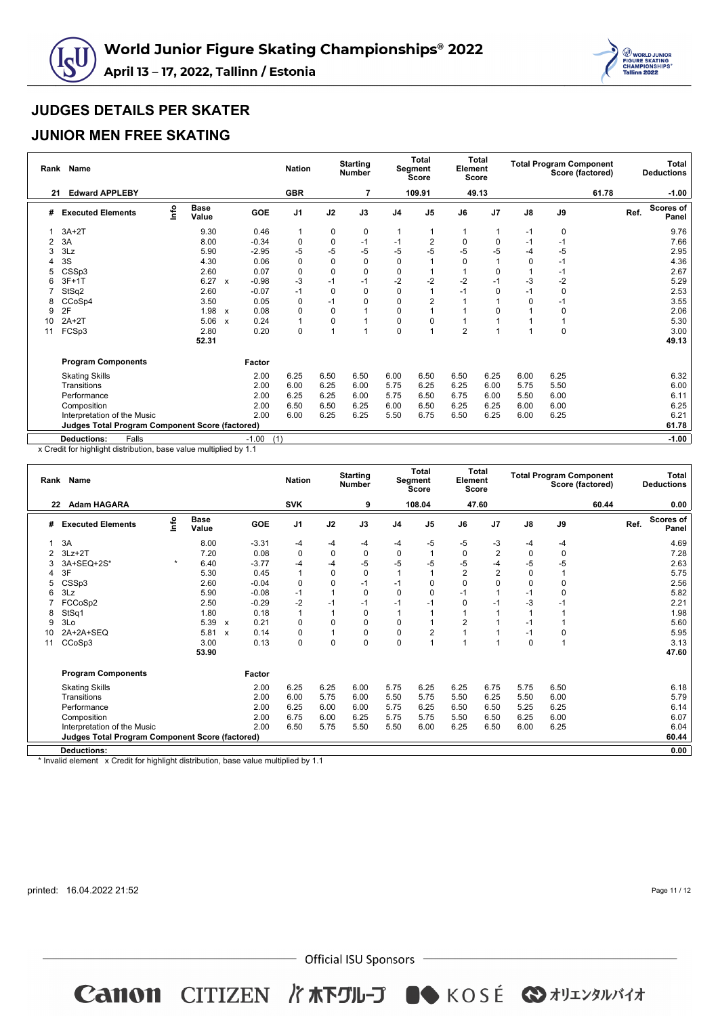



## **JUNIOR MEN FREE SKATING**

| Rank | Name                                            |      |                      |                           |                | <b>Nation</b>  |             | <b>Starting</b><br><b>Number</b> |                | <b>Total</b><br>Segment<br><b>Score</b> | Element<br>Score | Total       |               |             | <b>Total Program Component</b><br>Score (factored) |      | <b>Total</b><br><b>Deductions</b> |
|------|-------------------------------------------------|------|----------------------|---------------------------|----------------|----------------|-------------|----------------------------------|----------------|-----------------------------------------|------------------|-------------|---------------|-------------|----------------------------------------------------|------|-----------------------------------|
| 21   | <b>Edward APPLEBY</b>                           |      |                      |                           |                | <b>GBR</b>     |             |                                  |                | 109.91                                  |                  | 49.13       |               |             | 61.78                                              |      | $-1.00$                           |
| #    | <b>Executed Elements</b>                        | lnfo | <b>Base</b><br>Value |                           | GOE            | J <sub>1</sub> | J2          | J3                               | J <sub>4</sub> | J <sub>5</sub>                          | J6               | J7          | $\mathsf{J}8$ | J9          |                                                    | Ref. | <b>Scores of</b><br>Panel         |
|      | $3A+2T$                                         |      | 9.30                 |                           | 0.46           | 1              | 0           | 0                                | 1              |                                         |                  |             | $-1$          | 0           |                                                    |      | 9.76                              |
| 2    | 3A                                              |      | 8.00                 |                           | $-0.34$        | 0              | 0           | $-1$                             | $-1$           | 2                                       | $\Omega$         | $\mathbf 0$ | $-1$          | $-1$        |                                                    |      | 7.66                              |
| 3    | 3Lz                                             |      | 5.90                 |                           | $-2.95$        | $-5$           | -5          | $-5$                             | -5             | -5                                      | $-5$             | -5          | $-4$          | $-5$        |                                                    |      | 2.95                              |
|      | 3S                                              |      | 4.30                 |                           | 0.06           | 0              | $\mathbf 0$ | 0                                | $\mathbf 0$    |                                         | $\Omega$         |             | 0             | $-1$        |                                                    |      | 4.36                              |
| 5    | CSSp3                                           |      | 2.60                 |                           | 0.07           | $\mathbf 0$    | $\mathbf 0$ | 0                                | 0              |                                         |                  | 0           |               | $-1$        |                                                    |      | 2.67                              |
| 6    | $3F+1T$                                         |      | 6.27                 | X                         | $-0.98$        | -3             | $-1$        | $-1$                             | $-2$           | $-2$                                    | $-2$             | $-1$        | $-3$          | $-2$        |                                                    |      | 5.29                              |
|      | StSq2                                           |      | 2.60                 |                           | $-0.07$        | $-1$           | $\mathbf 0$ | 0                                | $\mathbf 0$    |                                         |                  | 0           | $-1$          | 0           |                                                    |      | 2.53                              |
| 8    | CCoSp4                                          |      | 3.50                 |                           | 0.05           | 0              | $-1$        | 0                                | $\mathbf 0$    |                                         |                  |             | 0             | $-1$        |                                                    |      | 3.55                              |
| 9    | 2F                                              |      | 1.98                 | $\mathsf{x}$              | 0.08           | 0              | $\mathbf 0$ |                                  | $\mathbf 0$    |                                         |                  | 0           |               | 0           |                                                    |      | 2.06                              |
| 10   | $2A+2T$                                         |      | 5.06                 | $\boldsymbol{\mathsf{x}}$ | 0.24           | 1              | $\mathbf 0$ |                                  | $\mathbf 0$    |                                         |                  |             |               |             |                                                    |      | 5.30                              |
| 11   | FCSp3                                           |      | 2.80                 |                           | 0.20           | $\mathbf 0$    |             |                                  | $\mathbf 0$    |                                         | $\overline{2}$   |             |               | $\mathbf 0$ |                                                    |      | 3.00                              |
|      |                                                 |      | 52.31                |                           |                |                |             |                                  |                |                                         |                  |             |               |             |                                                    |      | 49.13                             |
|      | <b>Program Components</b>                       |      |                      |                           | Factor         |                |             |                                  |                |                                         |                  |             |               |             |                                                    |      |                                   |
|      | <b>Skating Skills</b>                           |      |                      |                           | 2.00           | 6.25           | 6.50        | 6.50                             | 6.00           | 6.50                                    | 6.50             | 6.25        | 6.00          | 6.25        |                                                    |      | 6.32                              |
|      | Transitions                                     |      |                      |                           | 2.00           | 6.00           | 6.25        | 6.00                             | 5.75           | 6.25                                    | 6.25             | 6.00        | 5.75          | 5.50        |                                                    |      | 6.00                              |
|      | Performance                                     |      |                      |                           | 2.00           | 6.25           | 6.25        | 6.00                             | 5.75           | 6.50                                    | 6.75             | 6.00        | 5.50          | 6.00        |                                                    |      | 6.11                              |
|      | Composition                                     |      |                      |                           | 2.00           | 6.50           | 6.50        | 6.25                             | 6.00           | 6.50                                    | 6.25             | 6.25        | 6.00          | 6.00        |                                                    |      | 6.25                              |
|      | Interpretation of the Music                     |      |                      |                           | 2.00           | 6.00           | 6.25        | 6.25                             | 5.50           | 6.75                                    | 6.50             | 6.25        | 6.00          | 6.25        |                                                    |      | 6.21                              |
|      | Judges Total Program Component Score (factored) |      |                      |                           |                |                |             |                                  |                |                                         |                  |             |               |             |                                                    |      | 61.78                             |
|      | Falls<br><b>Deductions:</b>                     |      |                      |                           | $-1.00$<br>(1) |                |             |                                  |                |                                         |                  |             |               |             |                                                    |      | $-1.00$                           |

x Credit for highlight distribution, base value multiplied by 1.1

|    | Rank Name                                                                                                                                                                                                                               |      |                      |                           |            | <b>Nation</b>            |      | <b>Starting</b><br><b>Number</b> |                | Total<br>Segment<br><b>Score</b> | Element        | <b>Total</b><br>Score |               | <b>Total Program Component</b><br>Score (factored) |  |      | <b>Total</b><br><b>Deductions</b> |
|----|-----------------------------------------------------------------------------------------------------------------------------------------------------------------------------------------------------------------------------------------|------|----------------------|---------------------------|------------|--------------------------|------|----------------------------------|----------------|----------------------------------|----------------|-----------------------|---------------|----------------------------------------------------|--|------|-----------------------------------|
| 22 | <b>Adam HAGARA</b>                                                                                                                                                                                                                      |      |                      |                           |            | <b>SVK</b>               |      | 9                                |                | 108.04                           |                | 47.60                 |               | 60.44                                              |  |      | 0.00                              |
| #  | <b>Executed Elements</b>                                                                                                                                                                                                                | info | <b>Base</b><br>Value |                           | <b>GOE</b> | J1                       | J2   | J3                               | J <sub>4</sub> | J <sub>5</sub>                   | J6             | J <sub>7</sub>        | $\mathsf{J}8$ | J9                                                 |  | Ref. | <b>Scores of</b><br>Panel         |
|    | 3A                                                                                                                                                                                                                                      |      | 8.00                 |                           | $-3.31$    | -4                       | -4   | $-4$                             | -4             | $-5$                             | -5             | -3                    | -4            | -4                                                 |  |      | 4.69                              |
|    | $3Lz + 2T$                                                                                                                                                                                                                              |      | 7.20                 |                           | 0.08       | 0                        | 0    | 0                                | $\mathbf 0$    |                                  | 0              | $\overline{2}$        | 0             | 0                                                  |  |      | 7.28                              |
|    | -5<br>$-5$<br>$-5$<br>$-5$<br>$-5$<br>3A+SEQ+2S*<br>6.40<br>$-3.77$<br>$-4$<br>-4<br>2.63<br>$\star$<br>-4<br>$-5$<br>3F<br>$\overline{2}$<br>$\overline{2}$<br>0<br>5.30<br>0.45<br>$\mathbf{1}$<br>$\mathbf 0$<br>$\mathbf 0$<br>5.75 |      |                      |                           |            |                          |      |                                  |                |                                  |                |                       |               |                                                    |  |      |                                   |
|    | CSSp3<br>2.60<br>$-0.04$<br>$\mathbf 0$<br>0<br>$\Omega$<br>0<br>$-1$<br>$\Omega$<br>$\Omega$<br>2.56<br>$-1$<br>$\Omega$<br>5                                                                                                          |      |                      |                           |            |                          |      |                                  |                |                                  |                |                       |               |                                                    |  |      |                                   |
|    | 5.90<br>$-0.08$<br>5.82<br>3Lz<br>1<br>0<br>$\Omega$<br>$\mathbf 0$<br>$-1$<br>$\Omega$<br>$-1$<br>-1                                                                                                                                   |      |                      |                           |            |                          |      |                                  |                |                                  |                |                       |               |                                                    |  |      |                                   |
|    |                                                                                                                                                                                                                                         |      |                      |                           |            |                          |      |                                  |                |                                  |                |                       |               |                                                    |  |      |                                   |
|    | $-2$<br>$-1$<br>-3<br>FCCoSp2<br>2.50<br>$-0.29$<br>2.21<br>$-1$<br>$\Omega$<br>$-1$<br>-1<br>-1<br>$-1$                                                                                                                                |      |                      |                           |            |                          |      |                                  |                |                                  |                |                       |               |                                                    |  |      |                                   |
| 8  | StSq1                                                                                                                                                                                                                                   |      | 1.80                 |                           | 0.18       | 1                        | 1    | $\mathbf 0$                      |                |                                  |                |                       |               |                                                    |  |      | 1.98                              |
| 9  | 3Lo                                                                                                                                                                                                                                     |      | 5.39                 | $\boldsymbol{\mathsf{x}}$ | 0.21       | $\Omega$                 | 0    | $\mathbf 0$                      | $\mathbf 0$    |                                  | $\overline{2}$ |                       | $-1$          |                                                    |  |      | 5.60                              |
| 10 | 2A+2A+SEQ                                                                                                                                                                                                                               |      | 5.81                 | $\mathbf{x}$              | 0.14       | 0                        | 1    | 0                                | $\mathbf 0$    | 2                                |                |                       | $-1$          | 0                                                  |  |      | 5.95                              |
| 11 | CCoSp3                                                                                                                                                                                                                                  |      | 3.00                 |                           | 0.13       | $\mathbf 0$              | 0    | $\mathbf 0$                      | $\mathbf 0$    |                                  |                |                       | $\mathbf 0$   |                                                    |  |      | 3.13                              |
|    |                                                                                                                                                                                                                                         |      | 53.90                |                           |            |                          |      |                                  |                |                                  |                |                       |               |                                                    |  |      | 47.60                             |
|    | <b>Program Components</b>                                                                                                                                                                                                               |      |                      |                           | Factor     |                          |      |                                  |                |                                  |                |                       |               |                                                    |  |      |                                   |
|    | <b>Skating Skills</b>                                                                                                                                                                                                                   |      |                      |                           | 2.00       | 6.25                     | 6.25 | 6.00                             | 5.75           | 6.25                             | 6.25           | 6.75                  | 5.75          | 6.50                                               |  |      | 6.18                              |
|    | Transitions                                                                                                                                                                                                                             |      |                      |                           | 2.00       | 6.00                     | 5.75 | 6.00                             | 5.50           | 5.75                             | 5.50           | 6.25                  | 5.50          | 6.00                                               |  |      | 5.79                              |
|    | Performance                                                                                                                                                                                                                             |      |                      |                           | 2.00       | 6.25                     | 6.00 | 6.00                             | 5.75           | 6.25                             | 6.50           | 6.50                  | 5.25          | 6.25                                               |  |      | 6.14                              |
|    | Composition                                                                                                                                                                                                                             |      |                      |                           | 2.00       | 6.75                     | 6.00 | 6.25                             | 5.75           | 5.75                             | 5.50           | 6.50                  | 6.25          | 6.00                                               |  |      | 6.07                              |
|    | Interpretation of the Music                                                                                                                                                                                                             |      |                      |                           | 2.00       | 6.50                     | 5.75 | 5.50                             | 5.50           | 6.00                             | 6.25           | 6.50                  | 6.00          | 6.25                                               |  |      | 6.04                              |
|    | <b>Judges Total Program Component Score (factored)</b>                                                                                                                                                                                  |      |                      |                           |            |                          |      |                                  |                |                                  |                |                       |               |                                                    |  |      | 60.44                             |
|    | <b>Deductions:</b>                                                                                                                                                                                                                      |      |                      |                           |            |                          |      |                                  |                |                                  |                |                       |               |                                                    |  |      | 0.00                              |
|    | the product of the contract of the contract of the contract of the contract of the contract of the contract of                                                                                                                          |      |                      |                           |            | $1.11 - 1.1$<br>$\cdots$ |      |                                  |                |                                  |                |                       |               |                                                    |  |      |                                   |

\* Invalid element x Credit for highlight distribution, base value multiplied by 1.1

printed: 16.04.2022 21:52

Page 11 / 12

 $-$  Official ISU Sponsors  $-$